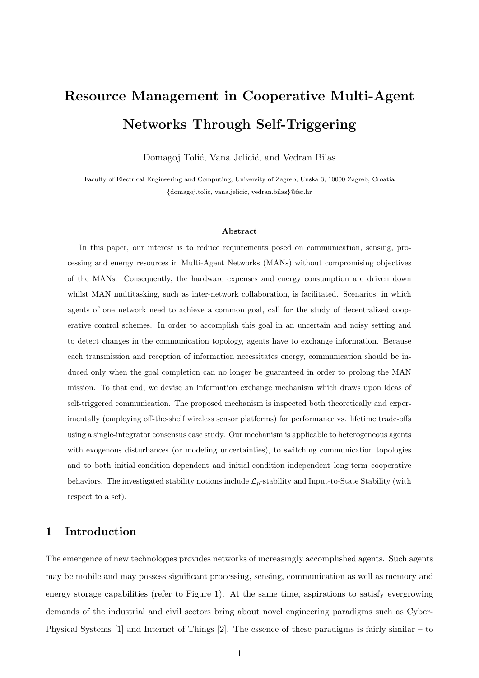# Resource Management in Cooperative Multi-Agent Networks Through Self-Triggering

Domagoj Tolić, Vana Jeličić, and Vedran Bilas

Faculty of Electrical Engineering and Computing, University of Zagreb, Unska 3, 10000 Zagreb, Croatia {domagoj.tolic, vana.jelicic, vedran.bilas}@fer.hr

#### Abstract

In this paper, our interest is to reduce requirements posed on communication, sensing, processing and energy resources in Multi-Agent Networks (MANs) without compromising objectives of the MANs. Consequently, the hardware expenses and energy consumption are driven down whilst MAN multitasking, such as inter-network collaboration, is facilitated. Scenarios, in which agents of one network need to achieve a common goal, call for the study of decentralized cooperative control schemes. In order to accomplish this goal in an uncertain and noisy setting and to detect changes in the communication topology, agents have to exchange information. Because each transmission and reception of information necessitates energy, communication should be induced only when the goal completion can no longer be guaranteed in order to prolong the MAN mission. To that end, we devise an information exchange mechanism which draws upon ideas of self-triggered communication. The proposed mechanism is inspected both theoretically and experimentally (employing off-the-shelf wireless sensor platforms) for performance vs. lifetime trade-offs using a single-integrator consensus case study. Our mechanism is applicable to heterogeneous agents with exogenous disturbances (or modeling uncertainties), to switching communication topologies and to both initial-condition-dependent and initial-condition-independent long-term cooperative behaviors. The investigated stability notions include  $\mathcal{L}_p$ -stability and Input-to-State Stability (with respect to a set).

# 1 Introduction

The emergence of new technologies provides networks of increasingly accomplished agents. Such agents may be mobile and may possess significant processing, sensing, communication as well as memory and energy storage capabilities (refer to Figure 1). At the same time, aspirations to satisfy evergrowing demands of the industrial and civil sectors bring about novel engineering paradigms such as Cyber-Physical Systems [1] and Internet of Things [2]. The essence of these paradigms is fairly similar – to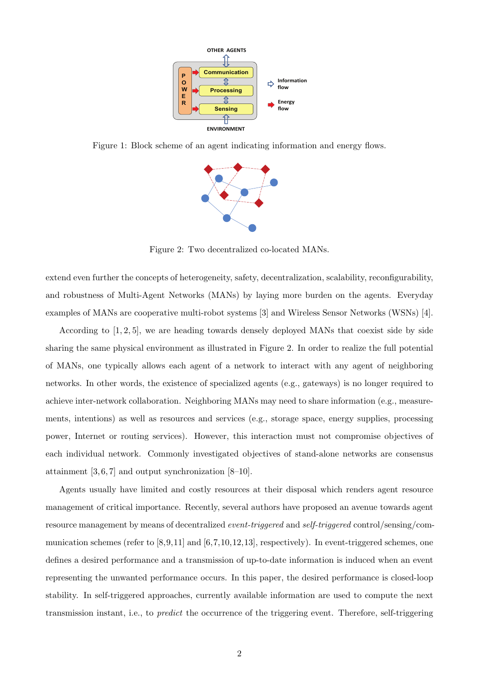

Figure 1: Block scheme of an agent indicating information and energy flows.



Figure 2: Two decentralized co-located MANs.

extend even further the concepts of heterogeneity, safety, decentralization, scalability, reconfigurability, and robustness of Multi-Agent Networks (MANs) by laying more burden on the agents. Everyday examples of MANs are cooperative multi-robot systems [3] and Wireless Sensor Networks (WSNs) [4].

According to  $[1, 2, 5]$ , we are heading towards densely deployed MANs that coexist side by side sharing the same physical environment as illustrated in Figure 2. In order to realize the full potential of MANs, one typically allows each agent of a network to interact with any agent of neighboring networks. In other words, the existence of specialized agents (e.g., gateways) is no longer required to achieve inter-network collaboration. Neighboring MANs may need to share information (e.g., measurements, intentions) as well as resources and services (e.g., storage space, energy supplies, processing power, Internet or routing services). However, this interaction must not compromise objectives of each individual network. Commonly investigated objectives of stand-alone networks are consensus attainment  $[3, 6, 7]$  and output synchronization  $[8-10]$ .

Agents usually have limited and costly resources at their disposal which renders agent resource management of critical importance. Recently, several authors have proposed an avenue towards agent resource management by means of decentralized event-triggered and self-triggered control/sensing/communication schemes (refer to [8,9,11] and [6,7,10,12,13], respectively). In event-triggered schemes, one defines a desired performance and a transmission of up-to-date information is induced when an event representing the unwanted performance occurs. In this paper, the desired performance is closed-loop stability. In self-triggered approaches, currently available information are used to compute the next transmission instant, i.e., to predict the occurrence of the triggering event. Therefore, self-triggering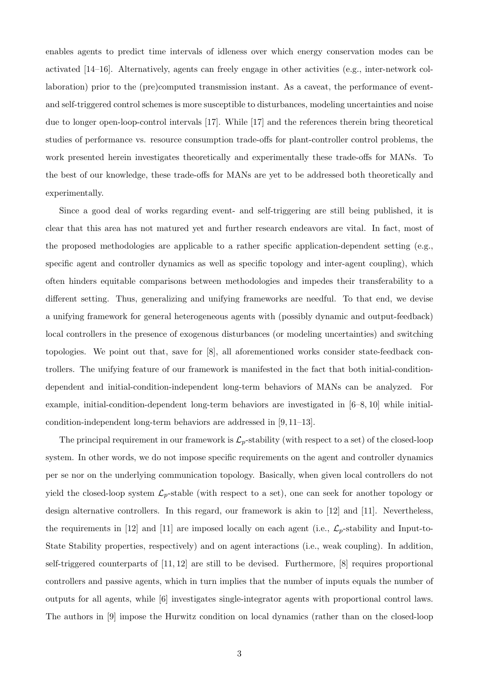enables agents to predict time intervals of idleness over which energy conservation modes can be activated [14–16]. Alternatively, agents can freely engage in other activities (e.g., inter-network collaboration) prior to the (pre)computed transmission instant. As a caveat, the performance of eventand self-triggered control schemes is more susceptible to disturbances, modeling uncertainties and noise due to longer open-loop-control intervals [17]. While [17] and the references therein bring theoretical studies of performance vs. resource consumption trade-offs for plant-controller control problems, the work presented herein investigates theoretically and experimentally these trade-offs for MANs. To the best of our knowledge, these trade-offs for MANs are yet to be addressed both theoretically and experimentally.

Since a good deal of works regarding event- and self-triggering are still being published, it is clear that this area has not matured yet and further research endeavors are vital. In fact, most of the proposed methodologies are applicable to a rather specific application-dependent setting (e.g., specific agent and controller dynamics as well as specific topology and inter-agent coupling), which often hinders equitable comparisons between methodologies and impedes their transferability to a different setting. Thus, generalizing and unifying frameworks are needful. To that end, we devise a unifying framework for general heterogeneous agents with (possibly dynamic and output-feedback) local controllers in the presence of exogenous disturbances (or modeling uncertainties) and switching topologies. We point out that, save for [8], all aforementioned works consider state-feedback controllers. The unifying feature of our framework is manifested in the fact that both initial-conditiondependent and initial-condition-independent long-term behaviors of MANs can be analyzed. For example, initial-condition-dependent long-term behaviors are investigated in [6–8, 10] while initialcondition-independent long-term behaviors are addressed in [9, 11–13].

The principal requirement in our framework is  $\mathcal{L}_p$ -stability (with respect to a set) of the closed-loop system. In other words, we do not impose specific requirements on the agent and controller dynamics per se nor on the underlying communication topology. Basically, when given local controllers do not yield the closed-loop system  $\mathcal{L}_p$ -stable (with respect to a set), one can seek for another topology or design alternative controllers. In this regard, our framework is akin to [12] and [11]. Nevertheless, the requirements in [12] and [11] are imposed locally on each agent (i.e.,  $\mathcal{L}_p$ -stability and Input-to-State Stability properties, respectively) and on agent interactions (i.e., weak coupling). In addition, self-triggered counterparts of [11, 12] are still to be devised. Furthermore, [8] requires proportional controllers and passive agents, which in turn implies that the number of inputs equals the number of outputs for all agents, while [6] investigates single-integrator agents with proportional control laws. The authors in [9] impose the Hurwitz condition on local dynamics (rather than on the closed-loop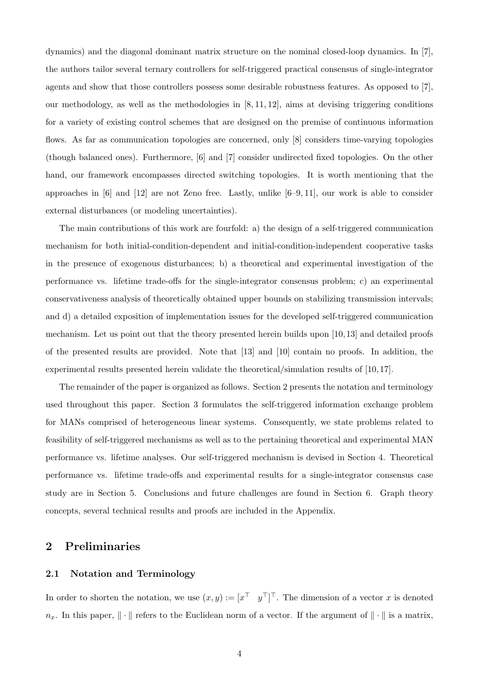dynamics) and the diagonal dominant matrix structure on the nominal closed-loop dynamics. In [7], the authors tailor several ternary controllers for self-triggered practical consensus of single-integrator agents and show that those controllers possess some desirable robustness features. As opposed to [7], our methodology, as well as the methodologies in  $[8, 11, 12]$ , aims at devising triggering conditions for a variety of existing control schemes that are designed on the premise of continuous information flows. As far as communication topologies are concerned, only [8] considers time-varying topologies (though balanced ones). Furthermore, [6] and [7] consider undirected fixed topologies. On the other hand, our framework encompasses directed switching topologies. It is worth mentioning that the approaches in  $[6]$  and  $[12]$  are not Zeno free. Lastly, unlike  $[6-9, 11]$ , our work is able to consider external disturbances (or modeling uncertainties).

The main contributions of this work are fourfold: a) the design of a self-triggered communication mechanism for both initial-condition-dependent and initial-condition-independent cooperative tasks in the presence of exogenous disturbances; b) a theoretical and experimental investigation of the performance vs. lifetime trade-offs for the single-integrator consensus problem; c) an experimental conservativeness analysis of theoretically obtained upper bounds on stabilizing transmission intervals; and d) a detailed exposition of implementation issues for the developed self-triggered communication mechanism. Let us point out that the theory presented herein builds upon [10, 13] and detailed proofs of the presented results are provided. Note that [13] and [10] contain no proofs. In addition, the experimental results presented herein validate the theoretical/simulation results of [10, 17].

The remainder of the paper is organized as follows. Section 2 presents the notation and terminology used throughout this paper. Section 3 formulates the self-triggered information exchange problem for MANs comprised of heterogeneous linear systems. Consequently, we state problems related to feasibility of self-triggered mechanisms as well as to the pertaining theoretical and experimental MAN performance vs. lifetime analyses. Our self-triggered mechanism is devised in Section 4. Theoretical performance vs. lifetime trade-offs and experimental results for a single-integrator consensus case study are in Section 5. Conclusions and future challenges are found in Section 6. Graph theory concepts, several technical results and proofs are included in the Appendix.

# 2 Preliminaries

## 2.1 Notation and Terminology

In order to shorten the notation, we use  $(x, y) := [x^\top y^\top]^\top$ . The dimension of a vector x is denoted  $n_x$ . In this paper,  $\|\cdot\|$  refers to the Euclidean norm of a vector. If the argument of  $\|\cdot\|$  is a matrix,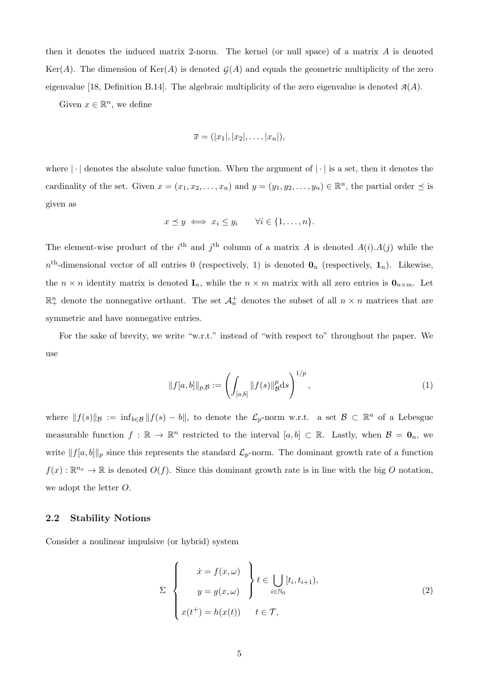then it denotes the induced matrix 2-norm. The kernel (or null space) of a matrix A is denoted Ker(A). The dimension of Ker(A) is denoted  $G(A)$  and equals the geometric multiplicity of the zero eigenvalue [18, Definition B.14]. The algebraic multiplicity of the zero eigenvalue is denoted  $A(A)$ .

Given  $x \in \mathbb{R}^n$ , we define

$$
\overline{x} = (|x_1|, |x_2|, \ldots, |x_n|),
$$

where  $\lfloor \cdot \rfloor$  denotes the absolute value function. When the argument of  $\lfloor \cdot \rfloor$  is a set, then it denotes the cardinality of the set. Given  $x = (x_1, x_2, \ldots, x_n)$  and  $y = (y_1, y_2, \ldots, y_n) \in \mathbb{R}^n$ , the partial order  $\preceq$  is given as

$$
x \preceq y \iff x_i \leq y_i \qquad \forall i \in \{1, \dots, n\}.
$$

The element-wise product of the i<sup>th</sup> and j<sup>th</sup> column of a matrix A is denoted  $A(i)A(j)$  while the  $n<sup>th</sup>$ -dimensional vector of all entries 0 (respectively, 1) is denoted  $\mathbf{0}_n$  (respectively,  $\mathbf{1}_n$ ). Likewise, the  $n \times n$  identity matrix is denoted  $\mathbf{I}_n$ , while the  $n \times m$  matrix with all zero entries is  $\mathbf{0}_{n \times m}$ . Let  $\mathbb{R}^n_+$  denote the nonnegative orthant. The set  $\mathcal{A}_n^+$  denotes the subset of all  $n \times n$  matrices that are symmetric and have nonnegative entries.

For the sake of brevity, we write "w.r.t." instead of "with respect to" throughout the paper. We use

$$
||f[a,b]||_{p,\mathcal{B}} := \left(\int_{[a,b]} ||f(s)||_{\mathcal{B}}^p ds\right)^{1/p},\tag{1}
$$

where  $||f(s)||_{\mathcal{B}} := \inf_{b \in \mathcal{B}} ||f(s) - b||$ , to denote the  $\mathcal{L}_p$ -norm w.r.t. a set  $\mathcal{B} \subset \mathbb{R}^n$  of a Lebesgue measurable function  $f : \mathbb{R} \to \mathbb{R}^n$  restricted to the interval  $[a, b] \subset \mathbb{R}$ . Lastly, when  $\mathcal{B} = \mathbf{0}_n$ , we write  $||f[a, b]||_p$  since this represents the standard  $\mathcal{L}_p$ -norm. The dominant growth rate of a function  $f(x): \mathbb{R}^{n_x} \to \mathbb{R}$  is denoted  $O(f)$ . Since this dominant growth rate is in line with the big O notation, we adopt the letter O.

#### 2.2 Stability Notions

Consider a nonlinear impulsive (or hybrid) system

$$
\Sigma \begin{cases} \dot{x} = f(x, \omega) \\ y = g(x, \omega) \end{cases} \begin{cases} t \in \bigcup_{i \in \mathbb{N}_0} [t_i, t_{i+1}), \\ t \in \mathcal{T}, \end{cases}
$$
 (2)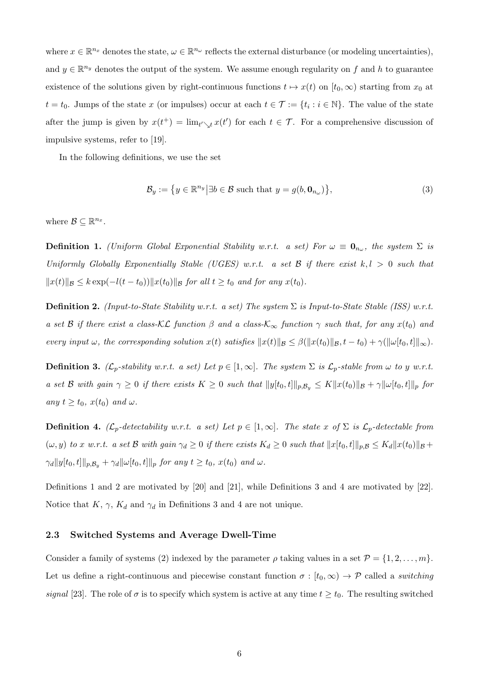where  $x \in \mathbb{R}^{n_x}$  denotes the state,  $\omega \in \mathbb{R}^{n_\omega}$  reflects the external disturbance (or modeling uncertainties), and  $y \in \mathbb{R}^{n_y}$  denotes the output of the system. We assume enough regularity on f and h to guarantee existence of the solutions given by right-continuous functions  $t \mapsto x(t)$  on  $[t_0, \infty)$  starting from  $x_0$  at  $t = t_0$ . Jumps of the state x (or impulses) occur at each  $t \in \mathcal{T} := \{t_i : i \in \mathbb{N}\}\.$  The value of the state after the jump is given by  $x(t^+) = \lim_{t' \searrow t} x(t')$  for each  $t \in \mathcal{T}$ . For a comprehensive discussion of impulsive systems, refer to [19].

In the following definitions, we use the set

$$
\mathcal{B}_y := \left\{ y \in \mathbb{R}^{n_y} \middle| \exists b \in \mathcal{B} \text{ such that } y = g(b, \mathbf{0}_{n_\omega}) \right\},\tag{3}
$$

where  $\mathcal{B} \subseteq \mathbb{R}^{n_x}$ .

**Definition 1.** (Uniform Global Exponential Stability w.r.t. a set) For  $\omega \equiv \mathbf{0}_{n_{\omega}},$  the system  $\Sigma$  is Uniformly Globally Exponentially Stable (UGES) w.r.t. a set  $\mathcal{B}$  if there exist  $k, l > 0$  such that  $||x(t)||_{\mathcal{B}} \leq k \exp(-l(t-t_0))||x(t_0)||_{\mathcal{B}}$  for all  $t \geq t_0$  and for any  $x(t_0)$ .

**Definition 2.** (Input-to-State Stability w.r.t. a set) The system  $\Sigma$  is Input-to-State Stable (ISS) w.r.t. a set B if there exist a class-KL function  $\beta$  and a class-K<sub>∞</sub> function  $\gamma$  such that, for any  $x(t_0)$  and every input  $\omega$ , the corresponding solution  $x(t)$  satisfies  $||x(t)||_{\mathcal{B}} \leq \beta(||x(t_0)||_{\mathcal{B}}, t - t_0) + \gamma(||\omega[t_0, t]||_{\infty}).$ 

**Definition 3.** ( $\mathcal{L}_p$ -stability w.r.t. a set) Let  $p \in [1,\infty]$ . The system  $\Sigma$  is  $\mathcal{L}_p$ -stable from  $\omega$  to y w.r.t. a set B with gain  $\gamma \geq 0$  if there exists  $K \geq 0$  such that  $||y[t_0, t]||_{p, \mathcal{B}_y} \leq K||x(t_0)||_{\mathcal{B}} + \gamma ||\omega[t_0, t]||_p$  for any  $t \ge t_0$ ,  $x(t_0)$  and  $\omega$ .

**Definition 4.** ( $\mathcal{L}_p$ -detectability w.r.t. a set) Let  $p \in [1,\infty]$ . The state x of  $\Sigma$  is  $\mathcal{L}_p$ -detectable from  $(\omega, y)$  to x w.r.t. a set B with gain  $\gamma_d \geq 0$  if there exists  $K_d \geq 0$  such that  $||x[t_0, t]||_{p,\mathcal{B}} \leq K_d ||x(t_0)||_{\mathcal{B}} +$  $\gamma_d ||y[t_0, t]||_{p, \mathcal{B}_y} + \gamma_d ||\omega[t_0, t]||_p$  for any  $t \ge t_0$ ,  $x(t_0)$  and  $\omega$ .

Definitions 1 and 2 are motivated by [20] and [21], while Definitions 3 and 4 are motivated by [22]. Notice that  $K$ ,  $\gamma$ ,  $K_d$  and  $\gamma_d$  in Definitions 3 and 4 are not unique.

# 2.3 Switched Systems and Average Dwell-Time

Consider a family of systems (2) indexed by the parameter  $\rho$  taking values in a set  $\mathcal{P} = \{1, 2, \ldots, m\}.$ Let us define a right-continuous and piecewise constant function  $\sigma : [t_0, \infty) \to \mathcal{P}$  called a switching signal [23]. The role of  $\sigma$  is to specify which system is active at any time  $t \geq t_0$ . The resulting switched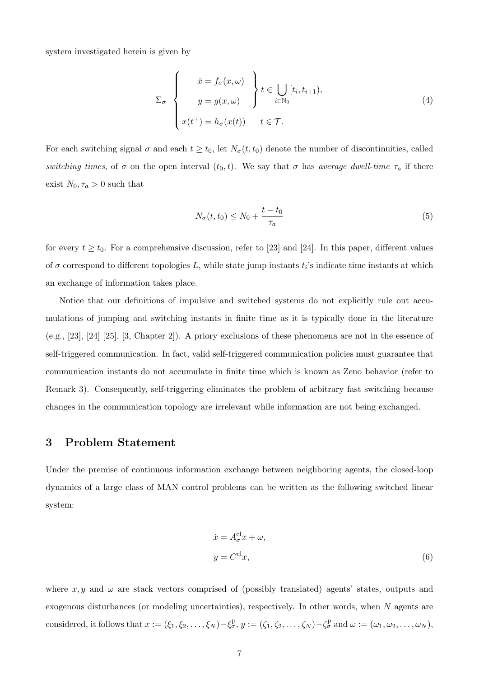system investigated herein is given by

$$
\Sigma_{\sigma} \left\{ \begin{aligned} \dot{x} &= f_{\sigma}(x,\omega) \\ y &= g(x,\omega) \\ x(t^+) &= h_{\sigma}(x(t)) \qquad t \in \mathcal{T}. \end{aligned} \right\} t \in \bigcup_{i \in \mathbb{N}_0} [t_i, t_{i+1}), \tag{4}
$$

For each switching signal  $\sigma$  and each  $t \geq t_0$ , let  $N_{\sigma}(t, t_0)$  denote the number of discontinuities, called switching times, of  $\sigma$  on the open interval  $(t_0, t)$ . We say that  $\sigma$  has average dwell-time  $\tau_a$  if there exist  $N_0, \tau_a > 0$  such that

$$
N_{\sigma}(t, t_0) \le N_0 + \frac{t - t_0}{\tau_a} \tag{5}
$$

for every  $t \geq t_0$ . For a comprehensive discussion, refer to [23] and [24]. In this paper, different values of  $\sigma$  correspond to different topologies L, while state jump instants  $t_i$ 's indicate time instants at which an exchange of information takes place.

Notice that our definitions of impulsive and switched systems do not explicitly rule out accumulations of jumping and switching instants in finite time as it is typically done in the literature (e.g., [23], [24] [25], [3, Chapter 2]). A priory exclusions of these phenomena are not in the essence of self-triggered communication. In fact, valid self-triggered communication policies must guarantee that communication instants do not accumulate in finite time which is known as Zeno behavior (refer to Remark 3). Consequently, self-triggering eliminates the problem of arbitrary fast switching because changes in the communication topology are irrelevant while information are not being exchanged.

# 3 Problem Statement

Under the premise of continuous information exchange between neighboring agents, the closed-loop dynamics of a large class of MAN control problems can be written as the following switched linear system:

$$
\begin{aligned}\n\dot{x} &= A_{\sigma}^{\text{cl}} x + \omega, \\
y &= C^{\text{cl}} x,\n\end{aligned} \tag{6}
$$

where  $x, y$  and  $\omega$  are stack vectors comprised of (possibly translated) agents' states, outputs and exogenous disturbances (or modeling uncertainties), respectively. In other words, when N agents are considered, it follows that  $x := (\xi_1, \xi_2, \dots, \xi_N) - \xi_{\sigma}^{\mathcal{P}}, y := (\zeta_1, \zeta_2, \dots, \zeta_N) - \zeta_{\sigma}^{\mathcal{P}}$  and  $\omega := (\omega_1, \omega_2, \dots, \omega_N)$ ,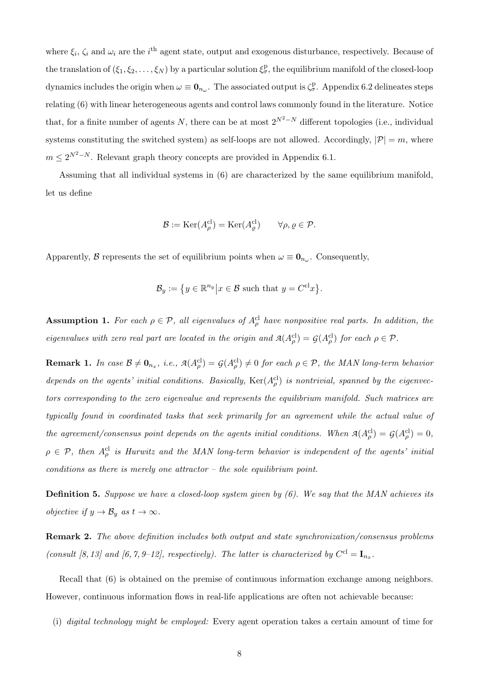where  $\xi_i$ ,  $\zeta_i$  and  $\omega_i$  are the i<sup>th</sup> agent state, output and exogenous disturbance, respectively. Because of the translation of  $(\xi_1, \xi_2, \ldots, \xi_N)$  by a particular solution  $\xi^p_\sigma$ , the equilibrium manifold of the closed-loop dynamics includes the origin when  $\omega \equiv \mathbf{0}_{n_{\omega}}$ . The associated output is  $\zeta_{\sigma}^{\mathbf{p}}$ . Appendix 6.2 delineates steps relating (6) with linear heterogeneous agents and control laws commonly found in the literature. Notice that, for a finite number of agents N, there can be at most  $2^{N^2-N}$  different topologies (i.e., individual systems constituting the switched system) as self-loops are not allowed. Accordingly,  $|\mathcal{P}| = m$ , where  $m \leq 2^{N^2-N}$ . Relevant graph theory concepts are provided in Appendix 6.1.

Assuming that all individual systems in (6) are characterized by the same equilibrium manifold, let us define

$$
\mathcal{B} := \text{Ker}(A_{\rho}^{\text{cl}}) = \text{Ker}(A_{\varrho}^{\text{cl}}) \qquad \forall \rho, \varrho \in \mathcal{P}.
$$

Apparently, B represents the set of equilibrium points when  $\omega \equiv \mathbf{0}_{n_{\omega}}$ . Consequently,

$$
\mathcal{B}_y := \{ y \in \mathbb{R}^{n_y} \big| x \in \mathcal{B} \text{ such that } y = C^{\text{cl}} x \}.
$$

**Assumption 1.** For each  $\rho \in \mathcal{P}$ , all eigenvalues of  $A_{\rho}^{cl}$  have nonpositive real parts. In addition, the eigenvalues with zero real part are located in the origin and  $\mathcal{A}(A_\rho^{\text{cl}}) = \mathcal{G}(A_\rho^{\text{cl}})$  for each  $\rho \in \mathcal{P}$ .

**Remark 1.** In case  $\mathcal{B} \neq \mathbf{0}_{n_x}$ , i.e.,  $\mathcal{A}(A_\rho^{\text{cl}}) = \mathcal{G}(A_\rho^{\text{cl}}) \neq 0$  for each  $\rho \in \mathcal{P}$ , the MAN long-term behavior depends on the agents' initial conditions. Basically,  $\text{Ker}(A_{\rho}^{cl})$  is nontrivial, spanned by the eigenvectors corresponding to the zero eigenvalue and represents the equilibrium manifold. Such matrices are typically found in coordinated tasks that seek primarily for an agreement while the actual value of the agreement/consensus point depends on the agents initial conditions. When  $\mathcal{A}(A_\rho^{\text{cl}}) = \mathcal{G}(A_\rho^{\text{cl}}) = 0$ ,  $\rho \in \mathcal{P}$ , then  $A_{\rho}^{\text{cl}}$  is Hurwitz and the MAN long-term behavior is independent of the agents' initial conditions as there is merely one attractor – the sole equilibrium point.

**Definition 5.** Suppose we have a closed-loop system given by  $(6)$ . We say that the MAN achieves its *objective if*  $y \to \mathcal{B}_y$  *as*  $t \to \infty$ *.* 

Remark 2. The above definition includes both output and state synchronization/consensus problems (consult [8, 13] and [6, 7, 9-12], respectively). The latter is characterized by  $C^{cl} = I_{n_x}$ .

Recall that (6) is obtained on the premise of continuous information exchange among neighbors. However, continuous information flows in real-life applications are often not achievable because:

(i) digital technology might be employed: Every agent operation takes a certain amount of time for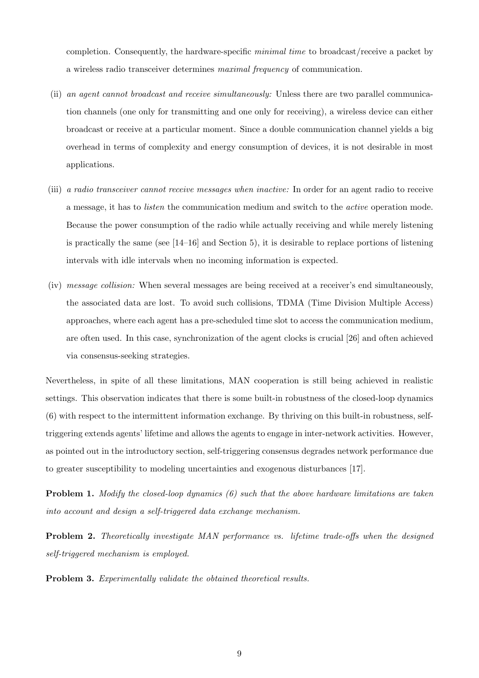completion. Consequently, the hardware-specific minimal time to broadcast/receive a packet by a wireless radio transceiver determines maximal frequency of communication.

- (ii) an agent cannot broadcast and receive simultaneously: Unless there are two parallel communication channels (one only for transmitting and one only for receiving), a wireless device can either broadcast or receive at a particular moment. Since a double communication channel yields a big overhead in terms of complexity and energy consumption of devices, it is not desirable in most applications.
- (iii) a radio transceiver cannot receive messages when inactive: In order for an agent radio to receive a message, it has to listen the communication medium and switch to the active operation mode. Because the power consumption of the radio while actually receiving and while merely listening is practically the same (see [14–16] and Section 5), it is desirable to replace portions of listening intervals with idle intervals when no incoming information is expected.
- (iv) message collision: When several messages are being received at a receiver's end simultaneously, the associated data are lost. To avoid such collisions, TDMA (Time Division Multiple Access) approaches, where each agent has a pre-scheduled time slot to access the communication medium, are often used. In this case, synchronization of the agent clocks is crucial [26] and often achieved via consensus-seeking strategies.

Nevertheless, in spite of all these limitations, MAN cooperation is still being achieved in realistic settings. This observation indicates that there is some built-in robustness of the closed-loop dynamics (6) with respect to the intermittent information exchange. By thriving on this built-in robustness, selftriggering extends agents' lifetime and allows the agents to engage in inter-network activities. However, as pointed out in the introductory section, self-triggering consensus degrades network performance due to greater susceptibility to modeling uncertainties and exogenous disturbances [17].

Problem 1. Modify the closed-loop dynamics (6) such that the above hardware limitations are taken into account and design a self-triggered data exchange mechanism.

Problem 2. Theoretically investigate MAN performance vs. lifetime trade-offs when the designed self-triggered mechanism is employed.

Problem 3. Experimentally validate the obtained theoretical results.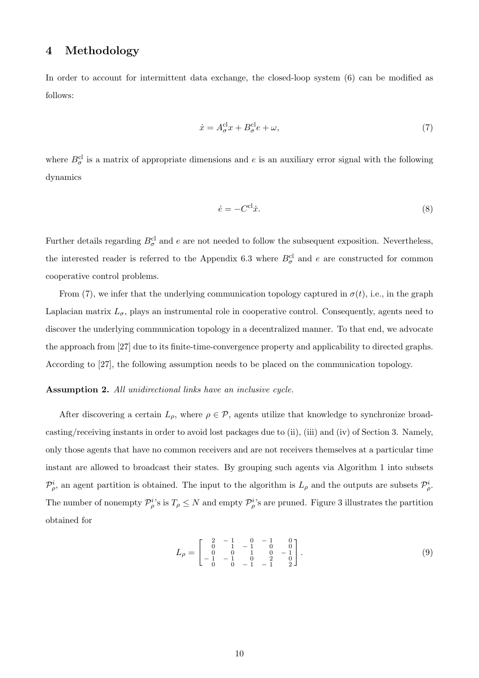# 4 Methodology

In order to account for intermittent data exchange, the closed-loop system (6) can be modified as follows:

$$
\dot{x} = A_{\sigma}^{\text{cl}} x + B_{\sigma}^{\text{cl}} e + \omega,\tag{7}
$$

where  $B_{\sigma}^{cl}$  is a matrix of appropriate dimensions and e is an auxiliary error signal with the following dynamics

$$
\dot{e} = -C^{\text{cl}}\dot{x}.\tag{8}
$$

Further details regarding  $B_{\sigma}^{cl}$  and e are not needed to follow the subsequent exposition. Nevertheless, the interested reader is referred to the Appendix 6.3 where  $B_{\sigma}^{cl}$  and e are constructed for common cooperative control problems.

From (7), we infer that the underlying communication topology captured in  $\sigma(t)$ , i.e., in the graph Laplacian matrix  $L_{\sigma}$ , plays an instrumental role in cooperative control. Consequently, agents need to discover the underlying communication topology in a decentralized manner. To that end, we advocate the approach from [27] due to its finite-time-convergence property and applicability to directed graphs. According to [27], the following assumption needs to be placed on the communication topology.

#### Assumption 2. All unidirectional links have an inclusive cycle.

After discovering a certain  $L_{\rho}$ , where  $\rho \in \mathcal{P}$ , agents utilize that knowledge to synchronize broadcasting/receiving instants in order to avoid lost packages due to (ii), (iii) and (iv) of Section 3. Namely, only those agents that have no common receivers and are not receivers themselves at a particular time instant are allowed to broadcast their states. By grouping such agents via Algorithm 1 into subsets  $\mathcal{P}_{\rho}^i$ , an agent partition is obtained. The input to the algorithm is  $L_\rho$  and the outputs are subsets  $\mathcal{P}_{\rho}^i$ . The number of nonempty  $\mathcal{P}_{\rho}^{i}$ 's is  $T_{\rho} \leq N$  and empty  $\mathcal{P}_{\rho}^{i}$ 's are pruned. Figure 3 illustrates the partition obtained for

$$
L_{\rho} = \begin{bmatrix} 2 & -1 & 0 & -1 & 0 \\ 0 & 1 & -1 & 0 & 0 \\ 0 & 0 & 1 & 0 & 0 \\ -1 & -1 & 0 & 2 & 0 \\ 0 & 0 & -1 & -1 & 2 \end{bmatrix}.
$$
 (9)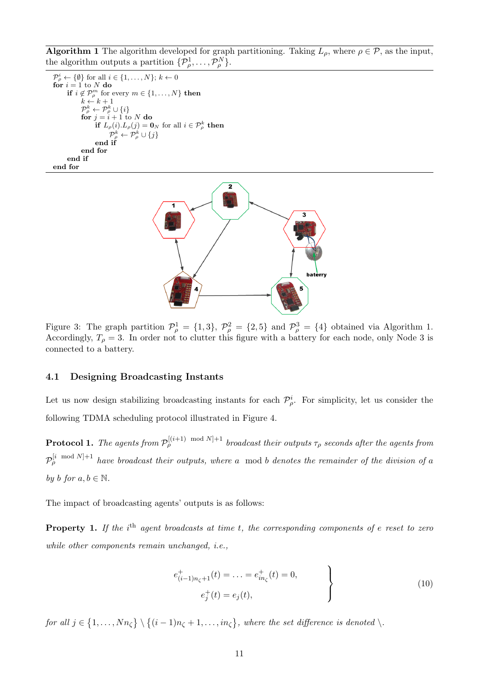**Algorithm 1** The algorithm developed for graph partitioning. Taking  $L_{\rho}$ , where  $\rho \in \mathcal{P}$ , as the input, the algorithm outputs a partition  $\{\mathcal{P}_{\rho}^1, \ldots, \mathcal{P}_{\rho}^N\}.$ 

 $\mathcal{P}^i_{\rho} \leftarrow \{\emptyset\}$  for all  $i \in \{1, \ldots, N\}; k \leftarrow 0$ for  $i = 1$  to N do if  $i \notin \mathcal{P}_\rho^m$  for every  $m \in \{1, \ldots, N\}$  then  $k \leftarrow k + 1$  $\mathcal{P}^k_\rho \leftarrow \mathcal{P}^k_\rho \cup \{i\}$ for  $j = i + 1$  to N do if  $L_{\rho}(i) L_{\rho}(j) = \mathbf{0}_N$  for all  $i \in \mathcal{P}_{\rho}^k$  then  $\mathcal{P}^k_\rho \leftarrow \mathcal{P}^k_\rho \cup \{j\}$ end if end for end if end for



Figure 3: The graph partition  $\mathcal{P}_{\rho}^1 = \{1,3\}, \mathcal{P}_{\rho}^2 = \{2,5\}$  and  $\mathcal{P}_{\rho}^3 = \{4\}$  obtained via Algorithm 1. Accordingly,  $T_{\rho} = 3$ . In order not to clutter this figure with a battery for each node, only Node 3 is connected to a battery.

#### 4.1 Designing Broadcasting Instants

Let us now design stabilizing broadcasting instants for each  $\mathcal{P}_{\rho}^{i}$ . For simplicity, let us consider the following TDMA scheduling protocol illustrated in Figure 4.

**Protocol 1.** The agents from  $\mathcal{P}_\rho^{[(i+1)\mod N]+1}$  broadcast their outputs  $\tau_\rho$  seconds after the agents from  $\mathcal{P}_{\rho}^{[i \mod N]+1}$  have broadcast their outputs, where a mod b denotes the remainder of the division of a by b for  $a, b \in \mathbb{N}$ .

The impact of broadcasting agents' outputs is as follows:

**Property 1.** If the  $i^{\text{th}}$  agent broadcasts at time t, the corresponding components of e reset to zero while other components remain unchanged, i.e.,

$$
e_{(i-1)n_{\zeta}+1}^{+}(t) = \ldots = e_{in_{\zeta}}^{+}(t) = 0,
$$
  
\n
$$
e_{j}^{+}(t) = e_{j}(t),
$$
\n(10)

for all  $j \in \{1, \ldots, Nn_\zeta\} \setminus \{(i-1)n_\zeta + 1, \ldots, in_\zeta\}$ , where the set difference is denoted \.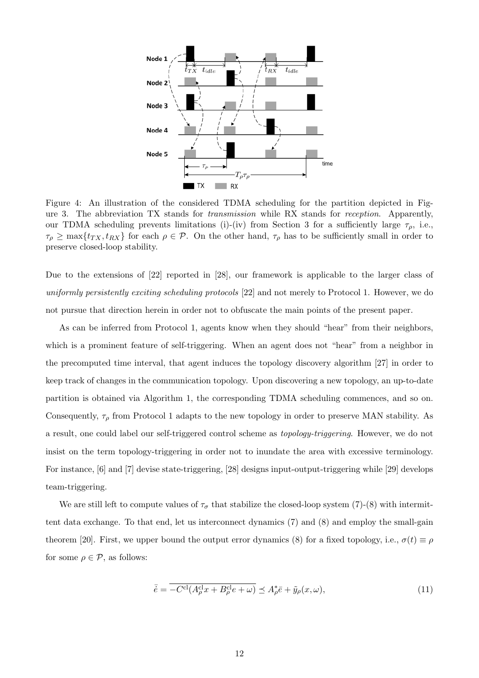

Figure 4: An illustration of the considered TDMA scheduling for the partition depicted in Figure 3. The abbreviation TX stands for transmission while RX stands for reception. Apparently, our TDMA scheduling prevents limitations (i)-(iv) from Section 3 for a sufficiently large  $\tau_{\rho}$ , i.e.,  $\tau_\rho \ge \max\{t_{TX}, t_{RX}\}\$ for each  $\rho \in \mathcal{P}$ . On the other hand,  $\tau_\rho$  has to be sufficiently small in order to preserve closed-loop stability.

Due to the extensions of [22] reported in [28], our framework is applicable to the larger class of uniformly persistently exciting scheduling protocols [22] and not merely to Protocol 1. However, we do not pursue that direction herein in order not to obfuscate the main points of the present paper.

As can be inferred from Protocol 1, agents know when they should "hear" from their neighbors, which is a prominent feature of self-triggering. When an agent does not "hear" from a neighbor in the precomputed time interval, that agent induces the topology discovery algorithm [27] in order to keep track of changes in the communication topology. Upon discovering a new topology, an up-to-date partition is obtained via Algorithm 1, the corresponding TDMA scheduling commences, and so on. Consequently,  $\tau_{\rho}$  from Protocol 1 adapts to the new topology in order to preserve MAN stability. As a result, one could label our self-triggered control scheme as topology-triggering. However, we do not insist on the term topology-triggering in order not to inundate the area with excessive terminology. For instance, [6] and [7] devise state-triggering, [28] designs input-output-triggering while [29] develops team-triggering.

We are still left to compute values of  $\tau_{\sigma}$  that stabilize the closed-loop system (7)-(8) with intermittent data exchange. To that end, let us interconnect dynamics (7) and (8) and employ the small-gain theorem [20]. First, we upper bound the output error dynamics (8) for a fixed topology, i.e.,  $\sigma(t) \equiv \rho$ for some  $\rho \in \mathcal{P}$ , as follows:

$$
\bar{\dot{e}} = \overline{-C^{\text{cl}}(A_{\rho}^{\text{cl}}x + B_{\rho}^{\text{cl}}e + \omega)} \preceq A_{\rho}^{*}\bar{e} + \tilde{y}_{\rho}(x,\omega),\tag{11}
$$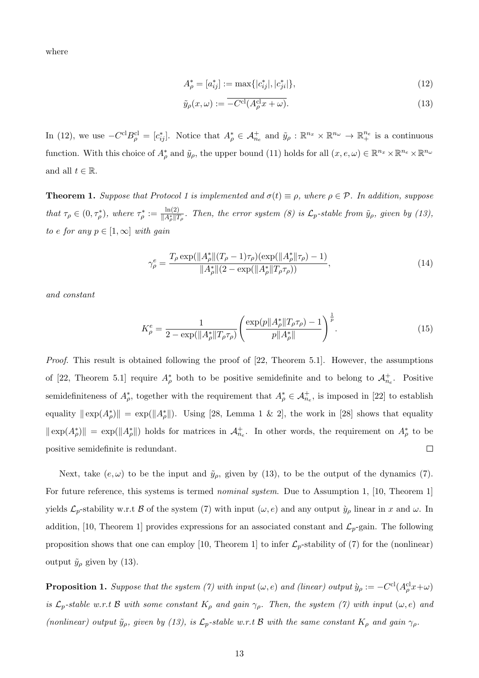where

$$
A_{\rho}^* = [a_{ij}^*] := \max\{|c_{ij}^*|, |c_{ji}^*|\},\tag{12}
$$

$$
\tilde{y}_{\rho}(x,\omega) := \overline{-C^{\text{cl}}(A_{\rho}^{\text{cl}}x + \omega)}.
$$
\n(13)

In (12), we use  $-C^{cl}B^{cl}_{\rho} = [c_{ij}^*]$ . Notice that  $A_{\rho}^* \in \mathcal{A}_{n_e}^+$  and  $\tilde{y}_{\rho}: \mathbb{R}^{n_x} \times \mathbb{R}^{n_{\omega}} \to \mathbb{R}^{n_e}_+$  is a continuous function. With this choice of  $A_{\rho}^*$  and  $\tilde{y}_{\rho}$ , the upper bound (11) holds for all  $(x, e, \omega) \in \mathbb{R}^{n_x} \times \mathbb{R}^{n_e} \times \mathbb{R}^{n_\omega}$ and all  $t \in \mathbb{R}$ .

**Theorem 1.** Suppose that Protocol 1 is implemented and  $\sigma(t) \equiv \rho$ , where  $\rho \in \mathcal{P}$ . In addition, suppose that  $\tau_{\rho} \in (0, \tau_{\rho}^*),$  where  $\tau_{\rho}^* := \frac{\ln(2)}{\|A_{\rho}^*\|T\|}$  $\frac{\ln(2)}{\|A^*_\rho\|T_\rho}$ . Then, the error system (8) is  $\mathcal{L}_p$ -stable from  $\tilde{y}_\rho$ , given by (13), to e for any  $p \in [1,\infty]$  with gain

$$
\gamma_{\rho}^{e} = \frac{T_{\rho} \exp(||A_{\rho}^{*}||(T_{\rho}-1)\tau_{\rho})(\exp(||A_{\rho}^{*}||\tau_{\rho})-1)}{||A_{\rho}^{*}||(2-\exp(||A_{\rho}^{*}||T_{\rho}\tau_{\rho}))},
$$
\n(14)

and constant

$$
K_{\rho}^{e} = \frac{1}{2 - \exp(||A_{\rho}^{*}||T_{\rho}\tau_{\rho})} \left(\frac{\exp(p||A_{\rho}^{*}||T_{\rho}\tau_{\rho}) - 1}{p||A_{\rho}^{*}||}\right)^{\frac{1}{p}}.
$$
(15)

Proof. This result is obtained following the proof of [22, Theorem 5.1]. However, the assumptions of [22, Theorem 5.1] require  $A_{\rho}^*$  both to be positive semidefinite and to belong to  $A_{n_e}^+$ . Positive semidefiniteness of  $A_{\rho}^*$ , together with the requirement that  $A_{\rho}^* \in \mathcal{A}_{n_e}^+$ , is imposed in [22] to establish equality  $\|\exp(A_{\rho}^*)\| = \exp(\|A_{\rho}^*\|)$ . Using [28, Lemma 1 & 2], the work in [28] shows that equality  $\|\exp(A_{\rho}^*)\| = \exp(\|A_{\rho}^*\|)$  holds for matrices in  $\mathcal{A}_{n_e}^*$ . In other words, the requirement on  $A_{\rho}^*$  to be positive semidefinite is redundant.  $\Box$ 

Next, take  $(e, \omega)$  to be the input and  $\tilde{y}_\rho$ , given by (13), to be the output of the dynamics (7). For future reference, this systems is termed *nominal system*. Due to Assumption 1, [10, Theorem 1] yields  $\mathcal{L}_p$ -stability w.r.t  $\mathcal B$  of the system (7) with input  $(\omega, e)$  and any output  $\hat{y}_\rho$  linear in x and  $\omega$ . In addition, [10, Theorem 1] provides expressions for an associated constant and  $\mathcal{L}_p$ -gain. The following proposition shows that one can employ [10, Theorem 1] to infer  $\mathcal{L}_p$ -stability of (7) for the (nonlinear) output  $\tilde{y}_{\rho}$  given by (13).

**Proposition 1.** Suppose that the system (7) with input  $(\omega, e)$  and (linear) output  $\hat{y}_\rho := -C^{\text{cl}}(A_\rho^{\text{cl}}x + \omega)$ is  $\mathcal{L}_p$ -stable w.r.t B with some constant  $K_\rho$  and gain  $\gamma_\rho$ . Then, the system (7) with input  $(\omega, e)$  and (nonlinear) output  $\tilde{y}_\rho$ , given by (13), is  $\mathcal{L}_p$ -stable w.r.t B with the same constant  $K_\rho$  and gain  $\gamma_\rho$ .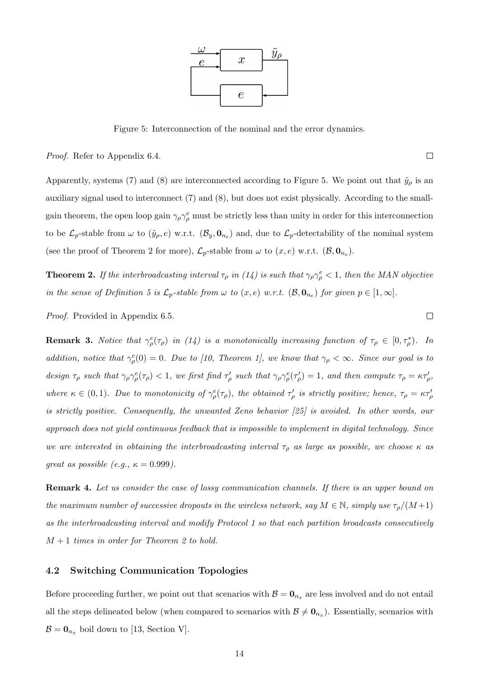![](_page_13_Figure_0.jpeg)

Figure 5: Interconnection of the nominal and the error dynamics.

Proof. Refer to Appendix 6.4.

Apparently, systems (7) and (8) are interconnected according to Figure 5. We point out that  $\tilde{y}_\rho$  is an auxiliary signal used to interconnect (7) and (8), but does not exist physically. According to the smallgain theorem, the open loop gain  $\gamma_\rho \gamma_\rho^e$  must be strictly less than unity in order for this interconnection to be  $\mathcal{L}_p$ -stable from  $\omega$  to  $(\tilde{y}_\rho, e)$  w.r.t.  $(\mathcal{B}_y, \mathbf{0}_{n_e})$  and, due to  $\mathcal{L}_p$ -detectability of the nominal system (see the proof of Theorem 2 for more),  $\mathcal{L}_p$ -stable from  $\omega$  to  $(x, e)$  w.r.t.  $(\mathcal{B}, \mathbf{0}_{n_e})$ .

**Theorem 2.** If the interbroadcasting interval  $\tau_\rho$  in (14) is such that  $\gamma_\rho \gamma_\rho^e < 1$ , then the MAN objective in the sense of Definition 5 is  $\mathcal{L}_p$ -stable from  $\omega$  to  $(x,e)$  w.r.t.  $(\mathcal{B},\mathbf{0}_{n_e})$  for given  $p \in [1,\infty]$ .

Proof. Provided in Appendix 6.5.

**Remark 3.** Notice that  $\gamma_{\rho}^e(\tau_{\rho})$  in (14) is a monotonically increasing function of  $\tau_{\rho} \in [0, \tau_{\rho}^*)$ . In addition, notice that  $\gamma_{\rho}^e(0) = 0$ . Due to [10, Theorem 1], we know that  $\gamma_{\rho} < \infty$ . Since our goal is to design  $\tau_\rho$  such that  $\gamma_\rho \gamma_\rho^e(\tau_\rho) < 1$ , we first find  $\tau_\rho'$  such that  $\gamma_\rho \gamma_\rho^e(\tau_\rho') = 1$ , and then compute  $\tau_\rho = \kappa \tau_\rho'$ , where  $\kappa \in (0,1)$ . Due to monotonicity of  $\gamma^e_\rho(\tau_\rho)$ , the obtained  $\tau'_\rho$  is strictly positive; hence,  $\tau_\rho = \kappa \tau'_\rho$ is strictly positive. Consequently, the unwanted Zeno behavior [25] is avoided. In other words, our approach does not yield continuous feedback that is impossible to implement in digital technology. Since we are interested in obtaining the interbroadcasting interval  $\tau_{\rho}$  as large as possible, we choose  $\kappa$  as great as possible (e.g.,  $\kappa = 0.999$ ).

**Remark 4.** Let us consider the case of lossy communication channels. If there is an upper bound on the maximum number of successive dropouts in the wireless network, say  $M \in \mathbb{N}$ , simply use  $\tau_{\rho}/(M+1)$ as the interbroadcasting interval and modify Protocol 1 so that each partition broadcasts consecutively  $M + 1$  times in order for Theorem 2 to hold.

# 4.2 Switching Communication Topologies

Before proceeding further, we point out that scenarios with  $\mathcal{B} = \mathbf{0}_{n_x}$  are less involved and do not entail all the steps delineated below (when compared to scenarios with  $\mathcal{B} \neq \mathbf{0}_{n_x}$ ). Essentially, scenarios with  $\mathcal{B} = \mathbf{0}_{n_x}$  boil down to [13, Section V].

 $\Box$ 

 $\Box$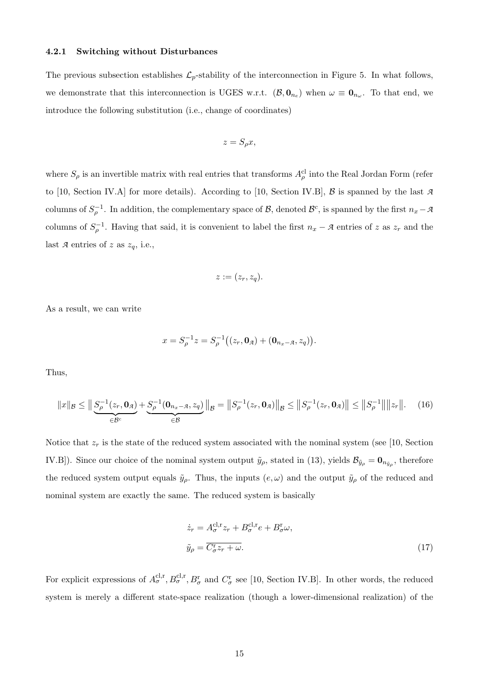#### 4.2.1 Switching without Disturbances

The previous subsection establishes  $\mathcal{L}_p$ -stability of the interconnection in Figure 5. In what follows, we demonstrate that this interconnection is UGES w.r.t.  $(\mathcal{B}, \mathbf{0}_{n_e})$  when  $\omega \equiv \mathbf{0}_{n_\omega}$ . To that end, we introduce the following substitution (i.e., change of coordinates)

$$
z = S_{\rho} x,
$$

where  $S_\rho$  is an invertible matrix with real entries that transforms  $A_\rho^{cl}$  into the Real Jordan Form (refer to [10, Section IV.A] for more details). According to [10, Section IV.B], B is spanned by the last *A* columns of  $S_{\rho}^{-1}$ . In addition, the complementary space of  $\mathcal{B}$ , denoted  $\mathcal{B}^c$ , is spanned by the first  $n_x - \mathcal{A}$ columns of  $S_{\rho}^{-1}$ . Having that said, it is convenient to label the first  $n_x - A$  entries of z as  $z_r$  and the last  $\mathcal A$  entries of  $z$  as  $z_q$ , i.e.,

$$
z:=(z_r,z_q).
$$

As a result, we can write

$$
x = S_{\rho}^{-1} z = S_{\rho}^{-1} ((z_r, \mathbf{0}_{\mathcal{A}}) + (\mathbf{0}_{n_x - \mathcal{A}}, z_q)).
$$

Thus,

$$
||x||_{\mathcal{B}} \le ||\underbrace{S_{\rho}^{-1}(z_r, \mathbf{0}_{\mathcal{A}})}_{\in \mathcal{B}^c} + \underbrace{S_{\rho}^{-1}(\mathbf{0}_{n_x - \mathcal{A}}, z_q)}_{\in \mathcal{B}}||_{\mathcal{B}} = ||S_{\rho}^{-1}(z_r, \mathbf{0}_{\mathcal{A}})||_{\mathcal{B}} \le ||S_{\rho}^{-1}(z_r, \mathbf{0}_{\mathcal{A}})|| \le ||S_{\rho}^{-1}|| ||z_r||. \tag{16}
$$

Notice that  $z_r$  is the state of the reduced system associated with the nominal system (see [10, Section IV.B]). Since our choice of the nominal system output  $\tilde{y}_\rho$ , stated in (13), yields  $\mathcal{B}_{\tilde{y}_\rho} = \mathbf{0}_{n_{\tilde{y}_\rho}}$ , therefore the reduced system output equals  $\tilde{y}_{\rho}$ . Thus, the inputs  $(e, \omega)$  and the output  $\tilde{y}_{\rho}$  of the reduced and nominal system are exactly the same. The reduced system is basically

$$
\begin{aligned}\n\dot{z}_r &= A_{\sigma}^{\text{cl,r}} z_r + B_{\sigma}^{\text{cl,r}} e + B_{\sigma}^{\text{r}} \omega, \\
\tilde{y}_\rho &= \overline{C_{\sigma}^{\text{r}} z_r + \omega}.\n\end{aligned} \tag{17}
$$

For explicit expressions of  $A_{\sigma}^{cl,r}, B_{\sigma}^{cl,r}, B_{\sigma}^{r}$  and  $C_{\sigma}^{r}$  see [10, Section IV.B]. In other words, the reduced system is merely a different state-space realization (though a lower-dimensional realization) of the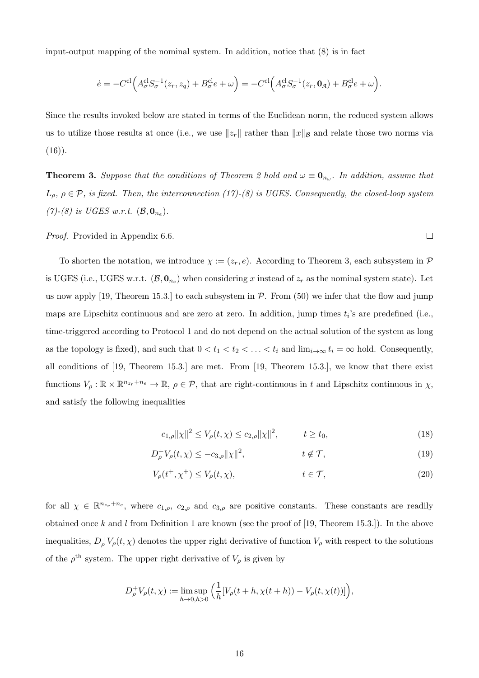input-output mapping of the nominal system. In addition, notice that  $(8)$  is in fact

$$
\dot{e} = -C^{\rm cl}\Big(A_{\sigma}^{\rm cl}S_{\sigma}^{-1}(z_r,z_q)+B_{\sigma}^{\rm cl}e+\omega\Big) = -C^{\rm cl}\Big(A_{\sigma}^{\rm cl}S_{\sigma}^{-1}(z_r,{\bf 0}_{\mathfrak{A}})+B_{\sigma}^{\rm cl}e+\omega\Big).
$$

Since the results invoked below are stated in terms of the Euclidean norm, the reduced system allows us to utilize those results at once (i.e., we use  $||z_r||$  rather than  $||x||_B$  and relate those two norms via  $(16)$ .

**Theorem 3.** Suppose that the conditions of Theorem 2 hold and  $\omega \equiv \mathbf{0}_{n_{\omega}}$ . In addition, assume that  $L_{\rho}, \rho \in \mathcal{P}$ , is fixed. Then, the interconnection (17)-(8) is UGES. Consequently, the closed-loop system (7)-(8) is UGES w.r.t.  $(\mathcal{B}, \mathbf{0}_{n_e})$ .

Proof. Provided in Appendix 6.6.

To shorten the notation, we introduce  $\chi := (z_r, e)$ . According to Theorem 3, each subsystem in  $\mathcal P$ is UGES (i.e., UGES w.r.t.  $(\mathcal{B}, \mathbf{0}_{n_e})$  when considering x instead of  $z_r$  as the nominal system state). Let us now apply [19, Theorem 15.3.] to each subsystem in  $P$ . From (50) we infer that the flow and jump maps are Lipschitz continuous and are zero at zero. In addition, jump times  $t_i$ 's are predefined (i.e., time-triggered according to Protocol 1 and do not depend on the actual solution of the system as long as the topology is fixed), and such that  $0 < t_1 < t_2 < \ldots < t_i$  and  $\lim_{i\to\infty} t_i = \infty$  hold. Consequently, all conditions of [19, Theorem 15.3.] are met. From [19, Theorem 15.3.], we know that there exist functions  $V_\rho : \mathbb{R} \times \mathbb{R}^{n_{z_r} + n_e} \to \mathbb{R}, \rho \in \mathcal{P}$ , that are right-continuous in t and Lipschitz continuous in  $\chi$ , and satisfy the following inequalities

$$
c_{1,\rho}||\chi||^2 \le V_{\rho}(t,\chi) \le c_{2,\rho}||\chi||^2, \qquad t \ge t_0,
$$
\n(18)

 $\Box$ 

$$
D_{\rho}^{+}V_{\rho}(t,\chi) \le -c_{3,\rho} ||\chi||^{2}, \qquad t \notin \mathcal{T}, \qquad (19)
$$

$$
V_{\rho}(t^+,\chi^+) \le V_{\rho}(t,\chi), \qquad t \in \mathcal{T}, \tag{20}
$$

for all  $\chi \in \mathbb{R}^{n_{z_r}+n_e}$ , where  $c_{1,\rho}$ ,  $c_{2,\rho}$  and  $c_{3,\rho}$  are positive constants. These constants are readily obtained once  $k$  and  $l$  from Definition 1 are known (see the proof of [19, Theorem 15.3.]). In the above inequalities,  $D_{\rho}^+ V_{\rho}(t,\chi)$  denotes the upper right derivative of function  $V_{\rho}$  with respect to the solutions of the  $\rho^{\text{th}}$  system. The upper right derivative of  $V_{\rho}$  is given by

$$
D_{\rho}^{+}V_{\rho}(t,\chi) := \limsup_{h \to 0, h > 0} \left( \frac{1}{h} [V_{\rho}(t+h, \chi(t+h)) - V_{\rho}(t, \chi(t))] \right),
$$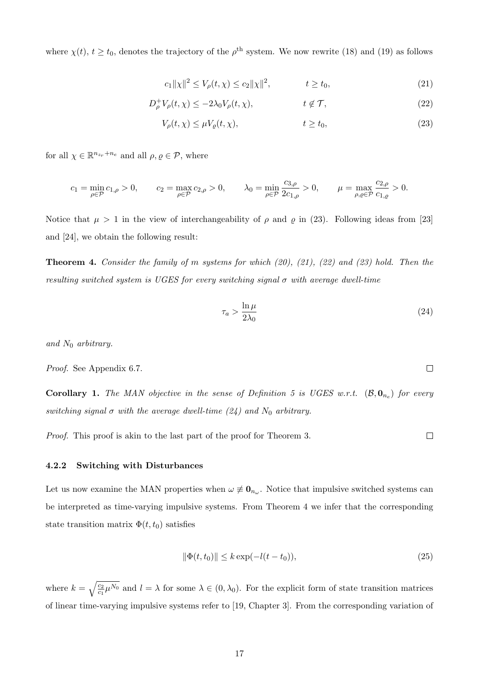where  $\chi(t)$ ,  $t \ge t_0$ , denotes the trajectory of the  $\rho^{\text{th}}$  system. We now rewrite (18) and (19) as follows

$$
c_1 \| \chi \|^2 \le V_\rho(t, \chi) \le c_2 \| \chi \|^2, \qquad t \ge t_0,
$$
\n(21)

$$
D_{\rho}^{+}V_{\rho}(t,\chi) \le -2\lambda_0 V_{\rho}(t,\chi), \qquad t \notin \mathcal{T}, \qquad (22)
$$

$$
V_{\rho}(t,\chi) \le \mu V_{\varrho}(t,\chi), \qquad t \ge t_0,\tag{23}
$$

for all  $\chi \in \mathbb{R}^{n_{z_r}+n_e}$  and all  $\rho, \varrho \in \mathcal{P}$ , where

$$
c_1 = \min_{\rho \in \mathcal{P}} c_{1,\rho} > 0, \qquad c_2 = \max_{\rho \in \mathcal{P}} c_{2,\rho} > 0, \qquad \lambda_0 = \min_{\rho \in \mathcal{P}} \frac{c_{3,\rho}}{2c_{1,\rho}} > 0, \qquad \mu = \max_{\rho, \varrho \in \mathcal{P}} \frac{c_{2,\rho}}{c_{1,\varrho}} > 0.
$$

Notice that  $\mu > 1$  in the view of interchangeability of  $\rho$  and  $\rho$  in (23). Following ideas from [23] and [24], we obtain the following result:

**Theorem 4.** Consider the family of m systems for which  $(20)$ ,  $(21)$ ,  $(22)$  and  $(23)$  hold. Then the resulting switched system is UGES for every switching signal  $\sigma$  with average dwell-time

$$
\tau_a > \frac{\ln \mu}{2\lambda_0} \tag{24}
$$

and  $N_0$  arbitrary.

Proof. See Appendix 6.7.

**Corollary 1.** The MAN objective in the sense of Definition 5 is UGES w.r.t.  $(\mathcal{B}, \mathbf{0}_{n_e})$  for every switching signal  $\sigma$  with the average dwell-time (24) and  $N_0$  arbitrary.

Proof. This proof is akin to the last part of the proof for Theorem 3.

#### 4.2.2 Switching with Disturbances

Let us now examine the MAN properties when  $\omega \neq \mathbf{0}_{n_{\omega}}$ . Notice that impulsive switched systems can be interpreted as time-varying impulsive systems. From Theorem 4 we infer that the corresponding state transition matrix  $\Phi(t, t_0)$  satisfies

$$
\|\Phi(t, t_0)\| \le k \exp(-l(t - t_0)),\tag{25}
$$

where  $k = \sqrt{\frac{c_2}{c_1} \mu^{N_0}}$  and  $l = \lambda$  for some  $\lambda \in (0, \lambda_0)$ . For the explicit form of state transition matrices of linear time-varying impulsive systems refer to [19, Chapter 3]. From the corresponding variation of

 $\Box$ 

 $\Box$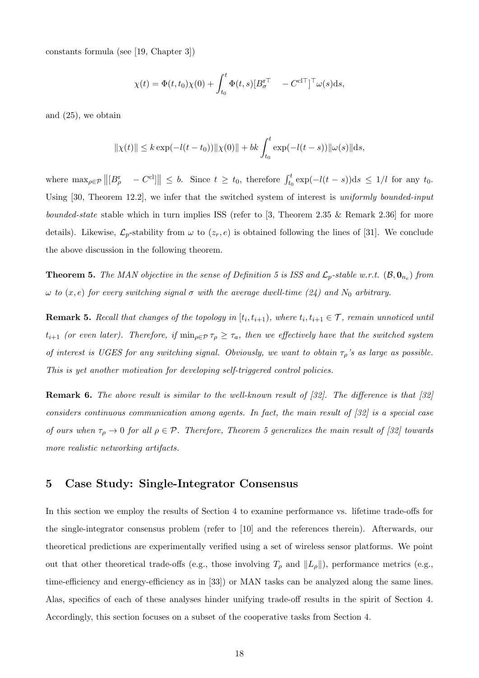constants formula (see [19, Chapter 3])

$$
\chi(t) = \Phi(t, t_0)\chi(0) + \int_{t_0}^t \Phi(t, s)[B_{\sigma}^{\mathrm{r}\top} \quad -C^{\mathrm{cl}\top}]^{\mathrm{T}} \omega(s) \mathrm{d}s,
$$

and (25), we obtain

$$
\|\chi(t)\| \le k \exp(-l(t-t_0)) \|\chi(0)\| + bk \int_{t_0}^t \exp(-l(t-s)) \|\omega(s)\| ds,
$$

where  $\max_{\rho \in \mathcal{P}} ||[B_{\rho}^{\text{r}} - C^{\text{cl}}]|| \leq b$ . Since  $t \geq t_0$ , therefore  $\int_{t_0}^{t} \exp(-l(t-s)) \, ds \leq 1/l$  for any  $t_0$ . Using [30, Theorem 12.2], we infer that the switched system of interest is uniformly bounded-input bounded-state stable which in turn implies ISS (refer to  $[3,$  Theorem 2.35 & Remark 2.36) for more details). Likewise,  $\mathcal{L}_p$ -stability from  $\omega$  to  $(z_r, e)$  is obtained following the lines of [31]. We conclude the above discussion in the following theorem.

**Theorem 5.** The MAN objective in the sense of Definition 5 is ISS and  $\mathcal{L}_p$ -stable w.r.t.  $(\mathcal{B}, \mathbf{0}_{n_e})$  from ω to  $(x, e)$  for every switching signal σ with the average dwell-time (24) and N<sub>0</sub> arbitrary.

**Remark 5.** Recall that changes of the topology in  $[t_i, t_{i+1})$ , where  $t_i, t_{i+1} \in \mathcal{T}$ , remain unnoticed until  $t_{i+1}$  (or even later). Therefore, if  $\min_{\rho \in \mathcal{P}} \tau_\rho \geq \tau_a$ , then we effectively have that the switched system of interest is UGES for any switching signal. Obviously, we want to obtain  $\tau_{\rho}$ 's as large as possible. This is yet another motivation for developing self-triggered control policies.

Remark 6. The above result is similar to the well-known result of [32]. The difference is that [32] considers continuous communication among agents. In fact, the main result of [32] is a special case of ours when  $\tau_{\rho} \to 0$  for all  $\rho \in \mathcal{P}$ . Therefore, Theorem 5 generalizes the main result of [32] towards more realistic networking artifacts.

# 5 Case Study: Single-Integrator Consensus

In this section we employ the results of Section 4 to examine performance vs. lifetime trade-offs for the single-integrator consensus problem (refer to [10] and the references therein). Afterwards, our theoretical predictions are experimentally verified using a set of wireless sensor platforms. We point out that other theoretical trade-offs (e.g., those involving  $T_\rho$  and  $||L_\rho||$ ), performance metrics (e.g., time-efficiency and energy-efficiency as in [33]) or MAN tasks can be analyzed along the same lines. Alas, specifics of each of these analyses hinder unifying trade-off results in the spirit of Section 4. Accordingly, this section focuses on a subset of the cooperative tasks from Section 4.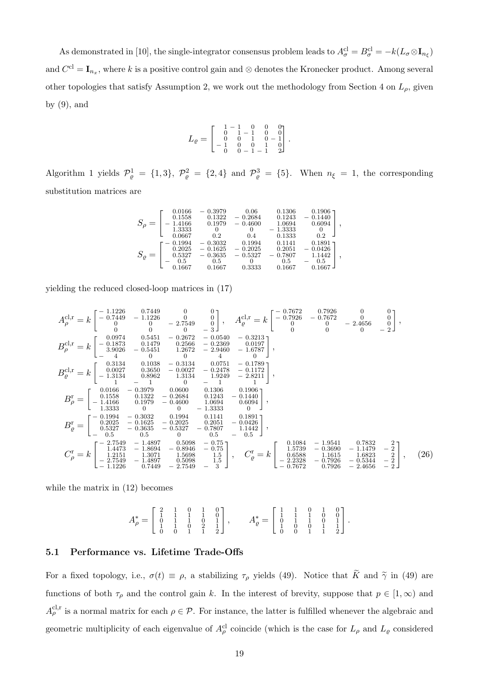As demonstrated in [10], the single-integrator consensus problem leads to  $A_{\sigma}^{cl} = B_{\sigma}^{cl} = -k(L_{\sigma} \otimes I_{n_{\xi}})$ and  $C^{cl} = I_{n_x}$ , where k is a positive control gain and ⊗ denotes the Kronecker product. Among several other topologies that satisfy Assumption 2, we work out the methodology from Section 4 on  $L_{\rho}$ , given by  $(9)$ , and

$$
L_{\varrho} = \begin{bmatrix} 1 & -1 & 0 & 0 & 0 \\ 0 & 1 & -1 & 0 & 0 \\ 0 & 0 & 1 & 0 & -1 \\ -1 & 0 & 0 & 1 & 0 \\ 0 & 0 & -1 & -1 & 2 \end{bmatrix}
$$

.

Algorithm 1 yields  $\mathcal{P}_{\varrho}^1 = \{1,3\}, \ \mathcal{P}_{\varrho}^2 = \{2,4\} \text{ and } \mathcal{P}_{\varrho}^3 = \{5\}.$  When  $n_{\xi} = 1$ , the corresponding substitution matrices are

$$
S_{\rho}=\left[\begin{smallmatrix} 0.0166 & -0.3979 & 0.06 & 0.1306 & 0.1906 \\ 0.1558 & 0.1322 & -0.2684 & 0.1243 & -0.1440 \\ -1.4166 & 0.1979 & -0.4600 & 1.0694 & 0.6094 \\ 1.3333 & 0 & 0 & -1.3333 & 0 \\ 0.0667 & 0.2 & 0.4 & 0.1333 & 0.2 \end{smallmatrix}\right],
$$
  
\n
$$
S_{\varrho}=\left[\begin{smallmatrix} -0.1994 & -0.3032 & 0.1994 & 0.1141 & 0.1891 \\ 0.2025 & -0.1625 & -0.2025 & 0.2051 & -0.0426 \\ 0.5327 & -0.3635 & -0.5327 & -0.7807 & 1.1442 \\ -0.5 & 0.5 & 0 & 0.5 & -1.442 \\ 0.1667 & 0.1667 & 0.3333 & 0.1667 & 0.1667 \end{smallmatrix}\right],
$$

yielding the reduced closed-loop matrices in (17)

$$
A_{\rho}^{\text{cl,r}} = k \begin{bmatrix} -\frac{1.1226}{0.7449} & -\frac{1.1226}{0.9} & 0 & 0 \\ 0 & 0 & -2.7549 & 0 \\ 0 & 0 & 0 & -3 \end{bmatrix}, A_{\varrho}^{\text{cl,r}} = k \begin{bmatrix} -\frac{0.7672}{0.7926} & -\frac{0.7672}{0.6672} & 0 & 0 \\ 0 & 0 & 0 & -3 \end{bmatrix},
$$
  
\n
$$
B_{\rho}^{\text{cl,r}} = k \begin{bmatrix} 0.0974 & 0.5451 & -0.2672 & -0.0540 & -0.3213 \\ -0.1873 & 0.5451 & 0.2566 & -0.03640 & -0.6787 \\ -0.3926 & -0.5451 & 1.2672 & -2.9460 & -1.6787 \\ -0.4 & 0 & 0 & 4 & 0 \end{bmatrix},
$$
  
\n
$$
B_{\varrho}^{\text{cl,r}} = k \begin{bmatrix} 0.0027 & 0.3650 & -0.0027 & -0.2478 & -0.1172 \\ 0.0027 & 0.3650 & -0.0027 & -0.2478 & -0.1172 \\ -1 & -1 & 0 & -1 & 1 \end{bmatrix},
$$
  
\n
$$
B_{\rho}^{\text{r}} = \begin{bmatrix} 0.0166 & -0.3979 & 0.0600 & 0.1366 & 0.1906 \\ -1.4166 & 0.1979 & -0.4600 & 1.0694 & 0.6094 \\ -1.4366 & 0.1979 & -0.4600 & 1.0694 & 0.6094 \\ 0.537 & 0.332 & 0.1994 & 0.1141 & 0.1891 \\ 0.527 & -0.3635 & -0.5327 & -0.7807 & 1.1442 \\ 0.527 & -0.3635 & -0.5327 & -0.7507 & 1.1442 \\ 0.527 & -
$$

while the matrix in (12) becomes

$$
A_{\rho}^* = \left[ \begin{array}{cccc} 2 & 1 & 0 & 1 & 0 \\ 1 & 1 & 1 & 0 & 1 \\ 0 & 1 & 1 & 0 & 2 \\ 1 & 1 & 0 & 2 & 1 \\ 0 & 0 & 1 & 1 & 2 \end{array} \right], \qquad A_{\varrho}^* = \left[ \begin{array}{cccc} 1 & 1 & 0 & 1 & 0 \\ 1 & 1 & 1 & 0 & 0 \\ 0 & 1 & 1 & 0 & 0 \\ 1 & 0 & 0 & 1 & 1 \\ 0 & 0 & 1 & 1 & 2 \end{array} \right].
$$

## 5.1 Performance vs. Lifetime Trade-Offs

For a fixed topology, i.e.,  $\sigma(t) \equiv \rho$ , a stabilizing  $\tau_{\rho}$  yields (49). Notice that  $\widetilde{K}$  and  $\widetilde{\gamma}$  in (49) are functions of both  $\tau_{\rho}$  and the control gain k. In the interest of brevity, suppose that  $p \in [1,\infty)$  and  $A_{\rho}^{cl,r}$  is a normal matrix for each  $\rho \in \mathcal{P}$ . For instance, the latter is fulfilled whenever the algebraic and geometric multiplicity of each eigenvalue of  $A_{\rho}^{cl}$  coincide (which is the case for  $L_{\rho}$  and  $L_{\varrho}$  considered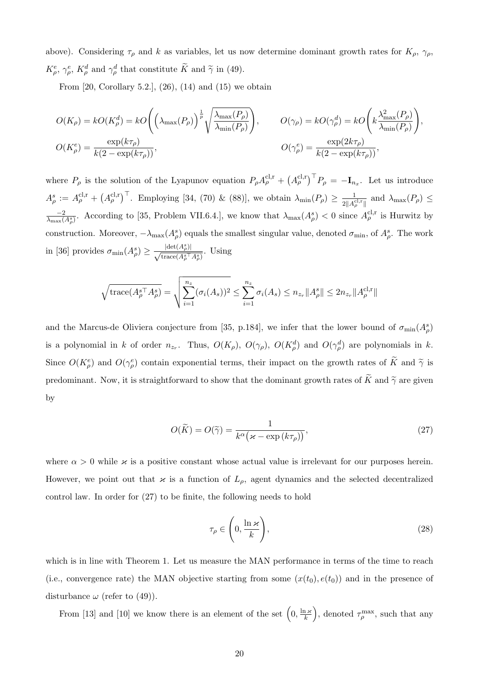above). Considering  $\tau_\rho$  and k as variables, let us now determine dominant growth rates for  $K_\rho$ ,  $\gamma_\rho$ ,  $K^e_{\rho}, \gamma^e_{\rho}, K^d_{\rho}$  and  $\gamma^d_{\rho}$  that constitute  $\tilde{K}$  and  $\tilde{\gamma}$  in (49).

From  $[20, Corollary 5.2, (26), (14)$  and  $(15)$  we obtain

$$
O(K_{\rho}) = kO(K_{\rho}^{d}) = kO\left(\left(\lambda_{\max}(P_{\rho})\right)^{\frac{1}{p}}\sqrt{\frac{\lambda_{\max}(P_{\rho})}{\lambda_{\min}(P_{\rho})}}\right), \qquad O(\gamma_{\rho}) = kO(\gamma_{\rho}^{d}) = kO\left(k\frac{\lambda_{\max}^{2}(P_{\rho})}{\lambda_{\min}(P_{\rho})}\right),
$$
  

$$
O(K_{\rho}^{e}) = \frac{\exp(k\tau_{\rho})}{k(2 - \exp(k\tau_{\rho}))}, \qquad O(\gamma_{\rho}^{e}) = \frac{\exp(2k\tau_{\rho})}{k(2 - \exp(k\tau_{\rho}))},
$$

where  $P_\rho$  is the solution of the Lyapunov equation  $P_\rho A_\rho^{\text{cl,r}} + (A_\rho^{\text{cl,r}})^{\top} P_\rho = -\mathbf{I}_{n_x}$ . Let us introduce  $A_{\rho}^{s} := A_{\rho}^{\text{cl,r}} + (A_{\rho}^{\text{cl,r}})^{\top}$ . Employing [34, (70) & (88)], we obtain  $\lambda_{\min}(P_{\rho}) \geq \frac{1}{2^{1/4}}$  $\frac{1}{2\|A_{\rho}^{\text{cl,r}}\|}$  and  $\lambda_{\max}(P_{\rho}) \leq$  $\frac{-2}{\lambda_{\max}(A_{\rho}^{s})}$ . According to [35, Problem VII.6.4.], we know that  $\lambda_{\max}(A_{\rho}^{s})$  < 0 since  $A_{\rho}^{\text{cl,r}}$  is Hurwitz by construction. Moreover,  $-\lambda_{\max}(A_{\rho}^s)$  equals the smallest singular value, denoted  $\sigma_{\min}$ , of  $A_{\rho}^s$ . The work in [36] provides  $\sigma_{\min}(A_{\rho}^s) \geq \frac{|\text{det}(A_{\rho}^s)|}{\sqrt{\text{trace}(A^s)}^s}$  $\frac{|\text{det}(A_{\rho})|}{\text{trace}(A_{\rho}^{s\top}A_{\rho}^{s})}$ . Using

$$
\sqrt{\text{trace}(A_{\rho}^{s\top}A_{\rho}^{s})} = \sqrt{\sum_{i=1}^{n_z} (\sigma_i(A_s))^2} \le \sum_{i=1}^{n_z} \sigma_i(A_s) \le n_{z_r} ||A_{\rho}^{s}|| \le 2n_{z_r} ||A_{\rho}^{c l,r}||
$$

and the Marcus-de Oliviera conjecture from [35, p.184], we infer that the lower bound of  $\sigma_{\min}(A_{\rho}^s)$ is a polynomial in k of order  $n_{z_r}$ . Thus,  $O(K_\rho)$ ,  $O(\gamma_\rho)$ ,  $O(K_\rho^d)$  and  $O(\gamma_\rho^d)$  are polynomials in k. Since  $O(K_\rho^e)$  and  $O(\gamma_\rho^e)$  contain exponential terms, their impact on the growth rates of  $\tilde{K}$  and  $\tilde{\gamma}$  is predominant. Now, it is straightforward to show that the dominant growth rates of  $\widetilde{K}$  and  $\widetilde{\gamma}$  are given by

$$
O(\widetilde{K}) = O(\widetilde{\gamma}) = \frac{1}{k^{\alpha} (\varkappa - \exp\left(k\tau_{\rho}\right))},\tag{27}
$$

where  $\alpha > 0$  while  $\varkappa$  is a positive constant whose actual value is irrelevant for our purposes herein. However, we point out that  $\varkappa$  is a function of  $L_{\rho}$ , agent dynamics and the selected decentralized control law. In order for (27) to be finite, the following needs to hold

$$
\tau_{\rho} \in \left(0, \frac{\ln \varkappa}{k}\right),\tag{28}
$$

which is in line with Theorem 1. Let us measure the MAN performance in terms of the time to reach (i.e., convergence rate) the MAN objective starting from some  $(x(t_0), e(t_0))$  and in the presence of disturbance  $\omega$  (refer to (49)).

From [13] and [10] we know there is an element of the set  $(0, \frac{\ln x}{k})$  $\left(\frac{d\mathcal{H}}{k}\right)$ , denoted  $\tau_{\rho}^{\max}$ , such that any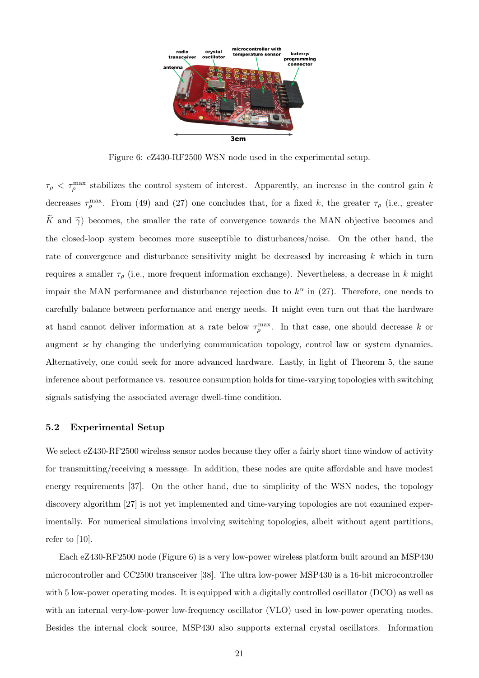![](_page_20_Figure_0.jpeg)

Figure 6: eZ430-RF2500 WSN node used in the experimental setup.

 $\tau_{\rho} < \tau_{\rho}^{\max}$  stabilizes the control system of interest. Apparently, an increase in the control gain k decreases  $\tau_{\rho}^{\max}$ . From (49) and (27) one concludes that, for a fixed k, the greater  $\tau_{\rho}$  (i.e., greater  $\widetilde{K}$  and  $\widetilde{\gamma}$ ) becomes, the smaller the rate of convergence towards the MAN objective becomes and the closed-loop system becomes more susceptible to disturbances/noise. On the other hand, the rate of convergence and disturbance sensitivity might be decreased by increasing  $k$  which in turn requires a smaller  $\tau_{\rho}$  (i.e., more frequent information exchange). Nevertheless, a decrease in k might impair the MAN performance and disturbance rejection due to  $k^{\alpha}$  in (27). Therefore, one needs to carefully balance between performance and energy needs. It might even turn out that the hardware at hand cannot deliver information at a rate below  $\tau_{\rho}^{\max}$ . In that case, one should decrease k or augment  $\varkappa$  by changing the underlying communication topology, control law or system dynamics. Alternatively, one could seek for more advanced hardware. Lastly, in light of Theorem 5, the same inference about performance vs. resource consumption holds for time-varying topologies with switching signals satisfying the associated average dwell-time condition.

## 5.2 Experimental Setup

We select eZ430-RF2500 wireless sensor nodes because they offer a fairly short time window of activity for transmitting/receiving a message. In addition, these nodes are quite affordable and have modest energy requirements [37]. On the other hand, due to simplicity of the WSN nodes, the topology discovery algorithm [27] is not yet implemented and time-varying topologies are not examined experimentally. For numerical simulations involving switching topologies, albeit without agent partitions, refer to  $[10]$ .

Each eZ430-RF2500 node (Figure 6) is a very low-power wireless platform built around an MSP430 microcontroller and CC2500 transceiver [38]. The ultra low-power MSP430 is a 16-bit microcontroller with 5 low-power operating modes. It is equipped with a digitally controlled oscillator (DCO) as well as with an internal very-low-power low-frequency oscillator (VLO) used in low-power operating modes. Besides the internal clock source, MSP430 also supports external crystal oscillators. Information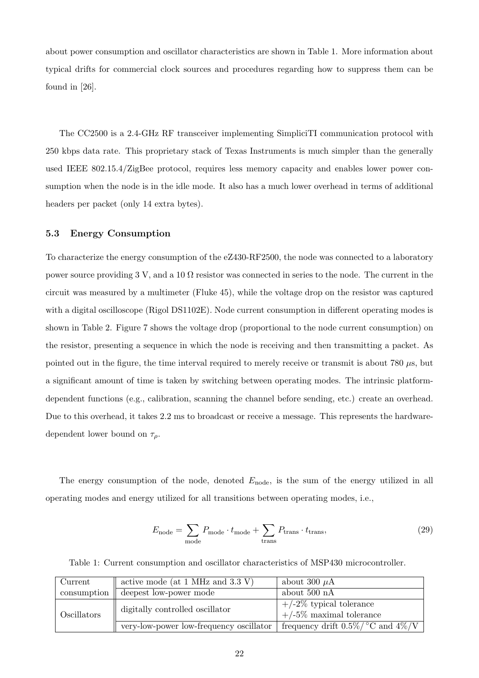about power consumption and oscillator characteristics are shown in Table 1. More information about typical drifts for commercial clock sources and procedures regarding how to suppress them can be found in [26].

The CC2500 is a 2.4-GHz RF transceiver implementing SimpliciTI communication protocol with 250 kbps data rate. This proprietary stack of Texas Instruments is much simpler than the generally used IEEE 802.15.4/ZigBee protocol, requires less memory capacity and enables lower power consumption when the node is in the idle mode. It also has a much lower overhead in terms of additional headers per packet (only 14 extra bytes).

## 5.3 Energy Consumption

To characterize the energy consumption of the eZ430-RF2500, the node was connected to a laboratory power source providing 3 V, and a 10  $\Omega$  resistor was connected in series to the node. The current in the circuit was measured by a multimeter (Fluke 45), while the voltage drop on the resistor was captured with a digital oscilloscope (Rigol DS1102E). Node current consumption in different operating modes is shown in Table 2. Figure 7 shows the voltage drop (proportional to the node current consumption) on the resistor, presenting a sequence in which the node is receiving and then transmitting a packet. As pointed out in the figure, the time interval required to merely receive or transmit is about 780 µs, but a significant amount of time is taken by switching between operating modes. The intrinsic platformdependent functions (e.g., calibration, scanning the channel before sending, etc.) create an overhead. Due to this overhead, it takes 2.2 ms to broadcast or receive a message. This represents the hardwaredependent lower bound on  $\tau_{\rho}$ .

The energy consumption of the node, denoted  $E_{\text{node}}$ , is the sum of the energy utilized in all operating modes and energy utilized for all transitions between operating modes, i.e.,

$$
E_{\text{node}} = \sum_{\text{mode}} P_{\text{mode}} \cdot t_{\text{mode}} + \sum_{\text{trans}} P_{\text{trans}} \cdot t_{\text{trans}},
$$
\n(29)

Table 1: Current consumption and oscillator characteristics of MSP430 microcontroller.

| Current     | active mode (at 1 MHz and 3.3 V)        | about 300 $\mu$ A                                        |
|-------------|-----------------------------------------|----------------------------------------------------------|
| consumption | deepest low-power mode                  | about 500 nA                                             |
| Oscillators | digitally controlled oscillator         | $+/-2\%$ typical tolerance<br>$+/-5\%$ maximal tolerance |
|             | very-low-power low-frequency oscillator | frequency drift $0.5\%$ / °C and $4\%$ /V                |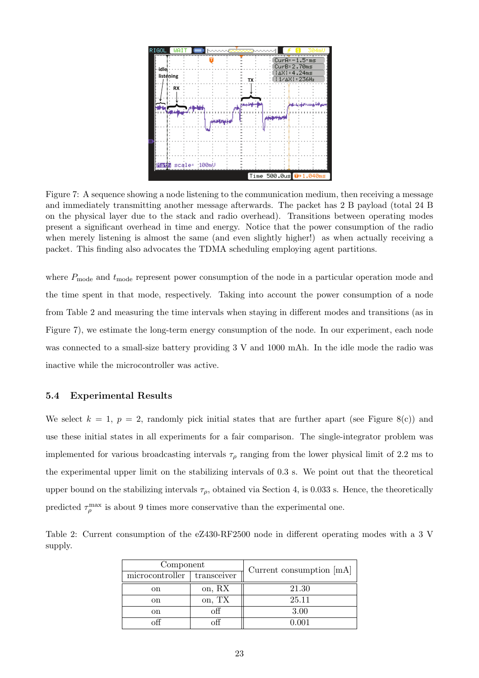![](_page_22_Figure_0.jpeg)

Figure 7: A sequence showing a node listening to the communication medium, then receiving a message and immediately transmitting another message afterwards. The packet has 2 B payload (total 24 B on the physical layer due to the stack and radio overhead). Transitions between operating modes present a significant overhead in time and energy. Notice that the power consumption of the radio when merely listening is almost the same (and even slightly higher!) as when actually receiving a packet. This finding also advocates the TDMA scheduling employing agent partitions.

where  $P_{\text{mode}}$  and  $t_{\text{mode}}$  represent power consumption of the node in a particular operation mode and the time spent in that mode, respectively. Taking into account the power consumption of a node from Table 2 and measuring the time intervals when staying in different modes and transitions (as in Figure 7), we estimate the long-term energy consumption of the node. In our experiment, each node was connected to a small-size battery providing 3 V and 1000 mAh. In the idle mode the radio was inactive while the microcontroller was active.

## 5.4 Experimental Results

We select  $k = 1$ ,  $p = 2$ , randomly pick initial states that are further apart (see Figure 8(c)) and use these initial states in all experiments for a fair comparison. The single-integrator problem was implemented for various broadcasting intervals  $\tau_\rho$  ranging from the lower physical limit of 2.2 ms to the experimental upper limit on the stabilizing intervals of 0.3 s. We point out that the theoretical upper bound on the stabilizing intervals  $\tau_{\rho}$ , obtained via Section 4, is 0.033 s. Hence, the theoretically predicted  $\tau_{\rho}^{\max}$  is about 9 times more conservative than the experimental one.

Table 2: Current consumption of the eZ430-RF2500 node in different operating modes with a 3 V supply.

| Component       |             | Current consumption $[mA]$ |
|-----------------|-------------|----------------------------|
| microcontroller | transceiver |                            |
| on              | on, RX      | 21.30                      |
| <sub>on</sub>   | on, TX      | 25.11                      |
| on              | off         | 3.00                       |
|                 |             | 1 AN 1                     |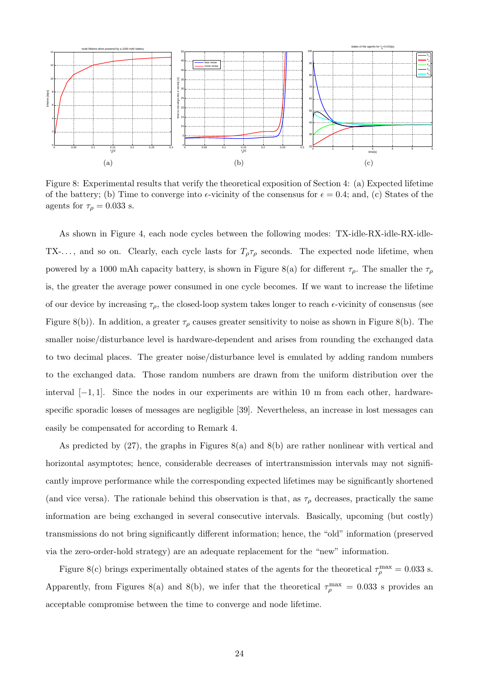![](_page_23_Figure_0.jpeg)

Figure 8: Experimental results that verify the theoretical exposition of Section 4: (a) Expected lifetime of the battery; (b) Time to converge into  $\epsilon$ -vicinity of the consensus for  $\epsilon = 0.4$ ; and, (c) States of the agents for  $\tau_\rho = 0.033$  s.

As shown in Figure 4, each node cycles between the following modes: TX-idle-RX-idle-RX-idle-TX- $\ldots$ , and so on. Clearly, each cycle lasts for  $T_{\rho} \tau_{\rho}$  seconds. The expected node lifetime, when powered by a 1000 mAh capacity battery, is shown in Figure 8(a) for different  $\tau_{\rho}$ . The smaller the  $\tau_{\rho}$ is, the greater the average power consumed in one cycle becomes. If we want to increase the lifetime of our device by increasing  $\tau_{\rho}$ , the closed-loop system takes longer to reach  $\epsilon$ -vicinity of consensus (see Figure 8(b)). In addition, a greater  $\tau_{\rho}$  causes greater sensitivity to noise as shown in Figure 8(b). The smaller noise/disturbance level is hardware-dependent and arises from rounding the exchanged data to two decimal places. The greater noise/disturbance level is emulated by adding random numbers to the exchanged data. Those random numbers are drawn from the uniform distribution over the interval  $[-1, 1]$ . Since the nodes in our experiments are within 10 m from each other, hardwarespecific sporadic losses of messages are negligible [39]. Nevertheless, an increase in lost messages can easily be compensated for according to Remark 4.

As predicted by  $(27)$ , the graphs in Figures  $8(a)$  and  $8(b)$  are rather nonlinear with vertical and horizontal asymptotes; hence, considerable decreases of intertransmission intervals may not significantly improve performance while the corresponding expected lifetimes may be significantly shortened (and vice versa). The rationale behind this observation is that, as  $\tau_\rho$  decreases, practically the same information are being exchanged in several consecutive intervals. Basically, upcoming (but costly) transmissions do not bring significantly different information; hence, the "old" information (preserved via the zero-order-hold strategy) are an adequate replacement for the "new" information.

Figure 8(c) brings experimentally obtained states of the agents for the theoretical  $\tau_{\rho}^{\rm max} = 0.033$  s. Apparently, from Figures 8(a) and 8(b), we infer that the theoretical  $\tau_{\rho}^{\rm max} = 0.033$  s provides and acceptable compromise between the time to converge and node lifetime.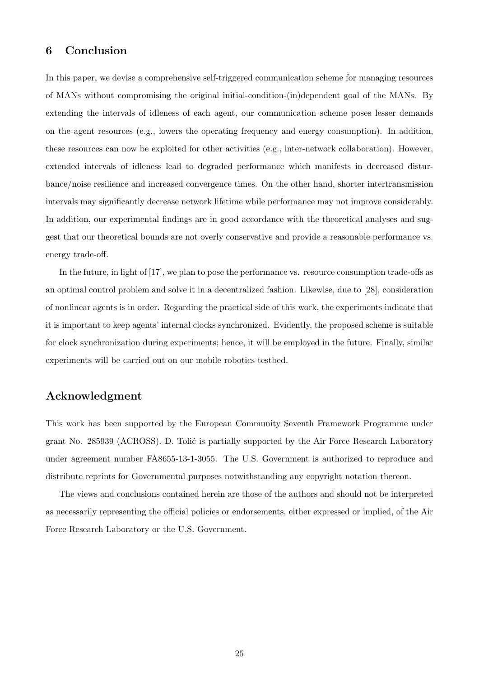# 6 Conclusion

In this paper, we devise a comprehensive self-triggered communication scheme for managing resources of MANs without compromising the original initial-condition-(in)dependent goal of the MANs. By extending the intervals of idleness of each agent, our communication scheme poses lesser demands on the agent resources (e.g., lowers the operating frequency and energy consumption). In addition, these resources can now be exploited for other activities (e.g., inter-network collaboration). However, extended intervals of idleness lead to degraded performance which manifests in decreased disturbance/noise resilience and increased convergence times. On the other hand, shorter intertransmission intervals may significantly decrease network lifetime while performance may not improve considerably. In addition, our experimental findings are in good accordance with the theoretical analyses and suggest that our theoretical bounds are not overly conservative and provide a reasonable performance vs. energy trade-off.

In the future, in light of [17], we plan to pose the performance vs. resource consumption trade-offs as an optimal control problem and solve it in a decentralized fashion. Likewise, due to [28], consideration of nonlinear agents is in order. Regarding the practical side of this work, the experiments indicate that it is important to keep agents' internal clocks synchronized. Evidently, the proposed scheme is suitable for clock synchronization during experiments; hence, it will be employed in the future. Finally, similar experiments will be carried out on our mobile robotics testbed.

# Acknowledgment

This work has been supported by the European Community Seventh Framework Programme under grant No. 285939 (ACROSS). D. Tolić is partially supported by the Air Force Research Laboratory under agreement number FA8655-13-1-3055. The U.S. Government is authorized to reproduce and distribute reprints for Governmental purposes notwithstanding any copyright notation thereon.

The views and conclusions contained herein are those of the authors and should not be interpreted as necessarily representing the official policies or endorsements, either expressed or implied, of the Air Force Research Laboratory or the U.S. Government.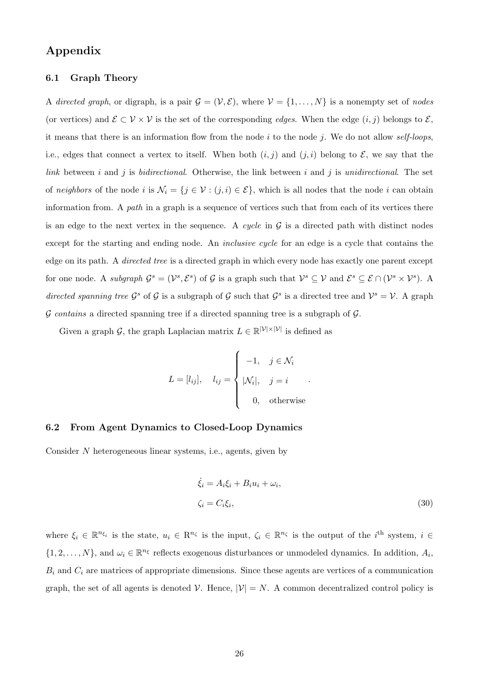# Appendix

## 6.1 Graph Theory

A directed graph, or digraph, is a pair  $\mathcal{G} = (\mathcal{V}, \mathcal{E})$ , where  $\mathcal{V} = \{1, \ldots, N\}$  is a nonempty set of nodes (or vertices) and  $\mathcal{E} \subset \mathcal{V} \times \mathcal{V}$  is the set of the corresponding *edges*. When the edge  $(i, j)$  belongs to  $\mathcal{E}$ , it means that there is an information flow from the node i to the node j. We do not allow self-loops, i.e., edges that connect a vertex to itself. When both  $(i, j)$  and  $(j, i)$  belong to  $\mathcal{E}$ , we say that the link between  $i$  and  $j$  is *bidirectional*. Otherwise, the link between  $i$  and  $j$  is *unidirectional*. The set of neighbors of the node i is  $\mathcal{N}_i = \{j \in \mathcal{V} : (j,i) \in \mathcal{E}\}\)$ , which is all nodes that the node i can obtain information from. A path in a graph is a sequence of vertices such that from each of its vertices there is an edge to the next vertex in the sequence. A cycle in  $\mathcal G$  is a directed path with distinct nodes except for the starting and ending node. An *inclusive cycle* for an edge is a cycle that contains the edge on its path. A directed tree is a directed graph in which every node has exactly one parent except for one node. A subgraph  $\mathcal{G}^s = (\mathcal{V}^s, \mathcal{E}^s)$  of  $\mathcal{G}$  is a graph such that  $\mathcal{V}^s \subseteq \mathcal{V}$  and  $\mathcal{E}^s \subseteq \mathcal{E} \cap (\mathcal{V}^s \times \mathcal{V}^s)$ . A directed spanning tree  $\mathcal{G}^s$  of  $\mathcal{G}$  is a subgraph of  $\mathcal{G}$  such that  $\mathcal{G}^s$  is a directed tree and  $\mathcal{V}^s = \mathcal{V}$ . A graph G contains a directed spanning tree if a directed spanning tree is a subgraph of  $G$ .

Given a graph  $\mathcal{G}$ , the graph Laplacian matrix  $L \in \mathbb{R}^{|\mathcal{V}| \times |\mathcal{V}|}$  is defined as

$$
L = [l_{ij}], \quad l_{ij} = \begin{cases} -1, & j \in \mathcal{N}_i \\ |\mathcal{N}_i|, & j = i \\ 0, & \text{otherwise} \end{cases}.
$$

# 6.2 From Agent Dynamics to Closed-Loop Dynamics

Consider N heterogeneous linear systems, i.e., agents, given by

$$
\dot{\xi}_i = A_i \xi_i + B_i u_i + \omega_i,
$$
  
\n
$$
\zeta_i = C_i \xi_i,
$$
\n(30)

where  $\xi_i \in \mathbb{R}^{n_{\xi_i}}$  is the state,  $u_i \in \mathbb{R}^{n_{\zeta}}$  is the input,  $\zeta_i \in \mathbb{R}^{n_{\zeta}}$  is the output of the  $i^{\text{th}}$  system,  $i \in$  $\{1, 2, \ldots, N\}$ , and  $\omega_i \in \mathbb{R}^{n_{\xi}}$  reflects exogenous disturbances or unmodeled dynamics. In addition,  $A_i$ ,  $B_i$  and  $C_i$  are matrices of appropriate dimensions. Since these agents are vertices of a communication graph, the set of all agents is denoted V. Hence,  $|\mathcal{V}| = N$ . A common decentralized control policy is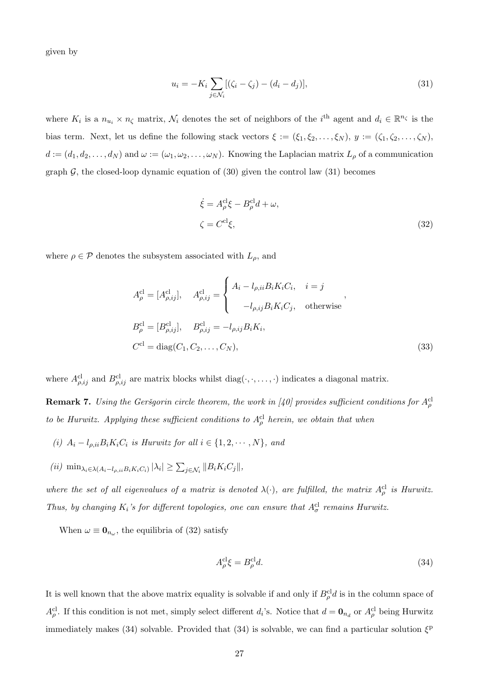given by

$$
u_i = -K_i \sum_{j \in \mathcal{N}_i} [(\zeta_i - \zeta_j) - (d_i - d_j)], \tag{31}
$$

where  $K_i$  is a  $n_{u_i} \times n_{\zeta}$  matrix,  $\mathcal{N}_i$  denotes the set of neighbors of the i<sup>th</sup> agent and  $d_i \in \mathbb{R}^{n_{\zeta}}$  is the bias term. Next, let us define the following stack vectors  $\xi := (\xi_1, \xi_2, \ldots, \xi_N), y := (\zeta_1, \zeta_2, \ldots, \zeta_N)$ ,  $d := (d_1, d_2, \ldots, d_N)$  and  $\omega := (\omega_1, \omega_2, \ldots, \omega_N)$ . Knowing the Laplacian matrix  $L_\rho$  of a communication graph  $\mathcal{G}$ , the closed-loop dynamic equation of (30) given the control law (31) becomes

$$
\dot{\xi} = A_{\rho}^{\text{cl}} \xi - B_{\rho}^{\text{cl}} d + \omega,
$$
  

$$
\zeta = C^{\text{cl}} \xi,
$$
 (32)

where  $\rho \in \mathcal{P}$  denotes the subsystem associated with  $L_{\rho}$ , and

$$
A_{\rho}^{\text{cl}} = [A_{\rho,ij}^{\text{cl}}], \quad A_{\rho,ij}^{\text{cl}} = \begin{cases} A_i - l_{\rho,ii} B_i K_i C_i, & i = j \\ -l_{\rho,ij} B_i K_i C_j, & \text{otherwise} \end{cases},
$$
  
\n
$$
B_{\rho}^{\text{cl}} = [B_{\rho,ij}^{\text{cl}}], \quad B_{\rho,ij}^{\text{cl}} = -l_{\rho,ij} B_i K_i,
$$
  
\n
$$
C^{\text{cl}} = \text{diag}(C_1, C_2, \dots, C_N),
$$
\n(33)

where  $A_{\rho,ij}^{cl}$  and  $B_{\rho,ij}^{cl}$  are matrix blocks whilst diag( $\cdot, \cdot, \ldots, \cdot$ ) indicates a diagonal matrix.

**Remark 7.** Using the Geršgorin circle theorem, the work in [40] provides sufficient conditions for  $A^{\text{cl}}_{\rho}$ to be Hurwitz. Applying these sufficient conditions to  $A_{\rho}^{\text{cl}}$  herein, we obtain that when

- (i)  $A_i l_{\rho, ii} B_i K_i C_i$  is Hurwitz for all  $i \in \{1, 2, \dots, N\}$ , and
- $(iii)$  min<sub> $\lambda_i \in \lambda(A_i l_{\rho, ii} B_i K_i C_i)$   $|\lambda_i| \ge \sum_{j \in \mathcal{N}_i} ||B_i K_i C_j||$ ,</sub>

where the set of all eigenvalues of a matrix is denoted  $\lambda(\cdot)$ , are fulfilled, the matrix  $A_{\rho}^{cl}$  is Hurwitz. Thus, by changing  $K_i$ 's for different topologies, one can ensure that  $A_{\sigma}^{cl}$  remains Hurwitz.

When  $\omega \equiv \mathbf{0}_{n_{\omega}}$ , the equilibria of (32) satisfy

$$
A_{\rho}^{\rm cl}\xi = B_{\rho}^{\rm cl}d.\tag{34}
$$

It is well known that the above matrix equality is solvable if and only if  $B_{\rho}^{cl}d$  is in the column space of  $A_{\rho}^{cl}$ . If this condition is not met, simply select different  $d_i$ 's. Notice that  $d = \mathbf{0}_{n_d}$  or  $A_{\rho}^{cl}$  being Hurwitz immediately makes (34) solvable. Provided that (34) is solvable, we can find a particular solution  $\xi^{\text{p}}$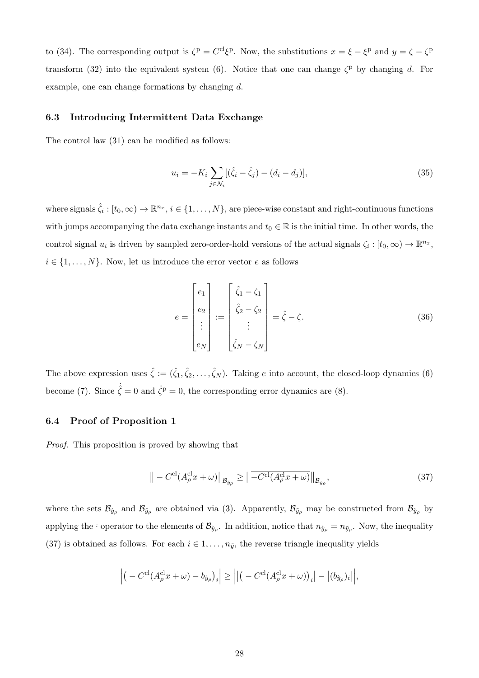to (34). The corresponding output is  $\zeta^{\text{p}} = C^{\text{cl}} \zeta^{\text{p}}$ . Now, the substitutions  $x = \xi - \xi^{\text{p}}$  and  $y = \zeta - \zeta^{\text{p}}$ transform (32) into the equivalent system (6). Notice that one can change  $\zeta^{\text{p}}$  by changing d. For example, one can change formations by changing d.

#### 6.3 Introducing Intermittent Data Exchange

The control law (31) can be modified as follows:

$$
u_i = -K_i \sum_{j \in \mathcal{N}_i} [(\hat{\zeta}_i - \hat{\zeta}_j) - (d_i - d_j)], \tag{35}
$$

where signals  $\hat{\zeta}_i : [t_0, \infty) \to \mathbb{R}^{n_x}, i \in \{1, \ldots, N\}$ , are piece-wise constant and right-continuous functions with jumps accompanying the data exchange instants and  $t_0 \in \mathbb{R}$  is the initial time. In other words, the control signal  $u_i$  is driven by sampled zero-order-hold versions of the actual signals  $\zeta_i : [t_0, \infty) \to \mathbb{R}^{n_x}$ ,  $i \in \{1, \ldots, N\}$ . Now, let us introduce the error vector e as follows

$$
e = \begin{bmatrix} e_1 \\ e_2 \\ \vdots \\ e_N \end{bmatrix} := \begin{bmatrix} \hat{\zeta}_1 - \zeta_1 \\ \hat{\zeta}_2 - \zeta_2 \\ \vdots \\ \hat{\zeta}_N - \zeta_N \end{bmatrix} = \hat{\zeta} - \zeta.
$$
 (36)

The above expression uses  $\hat{\zeta} := (\hat{\zeta}_1, \hat{\zeta}_2, \dots, \hat{\zeta}_N)$ . Taking e into account, the closed-loop dynamics (6) become (7). Since  $\dot{\hat{\zeta}} = 0$  and  $\dot{\zeta}^{\text{p}} = 0$ , the corresponding error dynamics are (8).

# 6.4 Proof of Proposition 1

Proof. This proposition is proved by showing that

$$
\left\| -C^{\mathrm{cl}}(A_{\rho}^{\mathrm{cl}}x + \omega) \right\|_{\mathcal{B}_{\tilde{y}_{\rho}}} \ge \left\| \overline{-C^{\mathrm{cl}}(A_{\rho}^{\mathrm{cl}}x + \omega)} \right\|_{\mathcal{B}_{\tilde{y}_{\rho}}},\tag{37}
$$

where the sets  $\mathcal{B}_{\tilde{y}_\rho}$  and  $\mathcal{B}_{\tilde{y}_\rho}$  are obtained via (3). Apparently,  $\mathcal{B}_{\tilde{y}_\rho}$  may be constructed from  $\mathcal{B}_{\tilde{y}_\rho}$  by applying the <sup>-</sup> operator to the elements of  $\mathcal{B}_{y\rho}$ . In addition, notice that  $n_{\hat{y}\rho} = n_{\tilde{y}\rho}$ . Now, the inequality (37) is obtained as follows. For each  $i \in 1, \ldots, n_{\tilde{y}}$ , the reverse triangle inequality yields

$$
\left| \left( -C^{\rm cl}(A_{\rho}^{\rm cl} x + \omega) - b_{\hat{y}_{\rho}} \right)_i \right| \ge \left| \left| \left( -C^{\rm cl}(A_{\rho}^{\rm cl} x + \omega) \right)_i \right| - \left| (b_{\hat{y}_{\rho}})_i \right| \right|,
$$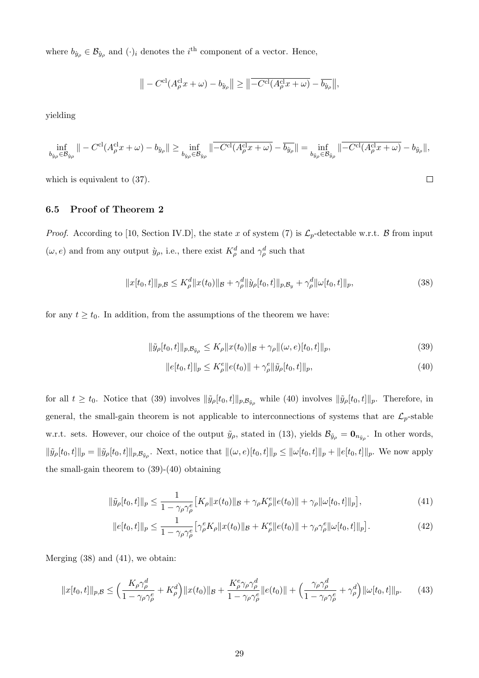where  $b_{\hat{y}_\rho} \in \mathcal{B}_{\hat{y}_\rho}$  and  $(\cdot)_i$  denotes the *i*<sup>th</sup> component of a vector. Hence,

$$
\| -C^{\mathrm{cl}}(A_{\rho}^{\mathrm{cl}}x + \omega) - b_{\hat{y}_{\rho}} \| \ge \|\overline{-C^{\mathrm{cl}}(A_{\rho}^{\mathrm{cl}}x + \omega)} - \overline{b_{\hat{y}_{\rho}}}\|,
$$

yielding

$$
\inf_{b_{\hat{y}_\rho}\in\mathcal{B}_{\hat{y}_\rho}}\| - C^{\mathrm{cl}}(A_\rho^{\mathrm{cl}}x + \omega) - b_{\hat{y}_\rho}\| \ge \inf_{b_{\hat{y}_\rho}\in\mathcal{B}_{\hat{y}_\rho}}\|\overline{-C^{\mathrm{cl}}(A_\rho^{\mathrm{cl}}x + \omega)} - \overline{b_{\hat{y}_\rho}}\| = \inf_{b_{\tilde{y}_\rho}\in\mathcal{B}_{\tilde{y}_\rho}}\|\overline{-C^{\mathrm{cl}}(A_\rho^{\mathrm{cl}}x + \omega)} - b_{\tilde{y}_\rho}\|,
$$

which is equivalent to (37).

# 6.5 Proof of Theorem 2

*Proof.* According to [10, Section IV.D], the state x of system (7) is  $\mathcal{L}_p$ -detectable w.r.t. B from input  $(\omega, e)$  and from any output  $\hat{y}_\rho$ , i.e., there exist  $K^d_\rho$  and  $\gamma^d_\rho$  such that

$$
||x[t_0, t]||_{p,\mathcal{B}} \le K_\rho^d ||x(t_0)||_{\mathcal{B}} + \gamma_\rho^d ||\dot{y}_\rho[t_0, t]||_{p,\mathcal{B}_y} + \gamma_\rho^d ||\omega[t_0, t]||_p, \tag{38}
$$

for any  $t \geq t_0$ . In addition, from the assumptions of the theorem we have:

$$
\|\tilde{y}_{\rho}[t_0, t]\|_{p, \mathcal{B}_{\tilde{y}_{\rho}}} \le K_{\rho} \|x(t_0)\|_{\mathcal{B}} + \gamma_{\rho} \|(\omega, e)[t_0, t]\|_{p},\tag{39}
$$

$$
||e[t_0, t]||_p \le K_\rho^e ||e(t_0)|| + \gamma_\rho^e ||\tilde{y}_\rho[t_0, t]||_p,
$$
\n(40)

 $\Box$ 

for all  $t \ge t_0$ . Notice that (39) involves  $\|\tilde{y}_\rho[t_0, t]\|_{p, \mathcal{B}_{\tilde{y}_\rho}}$  while (40) involves  $\|\tilde{y}_\rho[t_0, t]\|_p$ . Therefore, in general, the small-gain theorem is not applicable to interconnections of systems that are  $\mathcal{L}_p$ -stable w.r.t. sets. However, our choice of the output  $\tilde{y}_\rho$ , stated in (13), yields  $\mathcal{B}_{\tilde{y}_\rho} = \mathbf{0}_{n_{\tilde{y}_\rho}}$ . In other words,  $\|\tilde{y}_{\rho}[t_0, t]\|_p = \|\tilde{y}_{\rho}[t_0, t]\|_{p, \mathcal{B}_{\tilde{y}_{\rho}}}$ . Next, notice that  $\|(\omega, e)[t_0, t]\|_p \le \|\omega[t_0, t]\|_p + \|e[t_0, t]\|_p$ . We now apply the small-gain theorem to (39)-(40) obtaining

$$
\|\tilde{y}_{\rho}[t_0, t]\|_{p} \le \frac{1}{1 - \gamma_{\rho}\gamma_{\rho}^{e}} \left[K_{\rho} \|x(t_0)\|_{\mathcal{B}} + \gamma_{\rho} K_{\rho}^{e} \|e(t_0)\| + \gamma_{\rho} \|\omega[t_0, t]\|_{p}\right],
$$
\n(41)

$$
||e[t_0, t]||_p \le \frac{1}{1 - \gamma_\rho \gamma_\rho^e} \left[ \gamma_\rho^e K_\rho ||x(t_0)||_\mathcal{B} + K_\rho^e ||e(t_0)|| + \gamma_\rho \gamma_\rho^e ||\omega[t_0, t]||_p \right]. \tag{42}
$$

Merging (38) and (41), we obtain:

$$
||x[t_0,t]||_{p,\mathcal{B}} \le \left(\frac{K_{\rho}\gamma_{\rho}^d}{1-\gamma_{\rho}\gamma_{\rho}^e}+K_{\rho}^d\right)||x(t_0)||_{\mathcal{B}}+\frac{K_{\rho}^e\gamma_{\rho}\gamma_{\rho}^d}{1-\gamma_{\rho}\gamma_{\rho}^e}||e(t_0)||+\left(\frac{\gamma_{\rho}\gamma_{\rho}^d}{1-\gamma_{\rho}\gamma_{\rho}^e}+\gamma_{\rho}^d\right)||\omega[t_0,t]||_{p}.\tag{43}
$$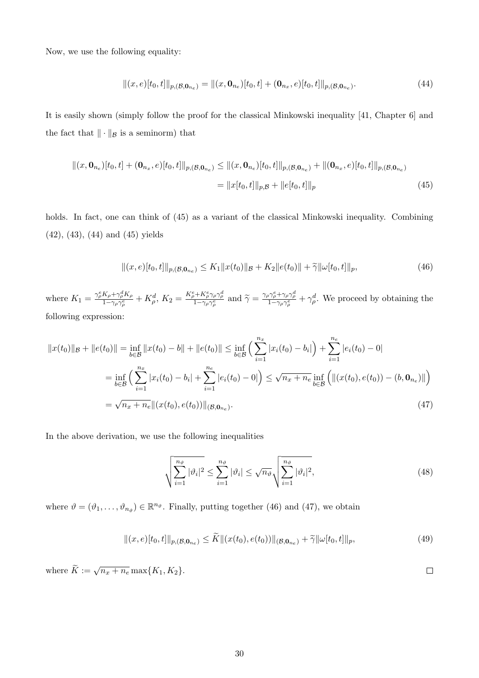Now, we use the following equality:

$$
||(x,e)[t_0,t]||_{p,(B,\mathbf{0}_{n_e})} = ||(x,\mathbf{0}_{n_e})[t_0,t] + (\mathbf{0}_{n_x},e)[t_0,t]||_{p,(B,\mathbf{0}_{n_e})}.
$$
\n(44)

It is easily shown (simply follow the proof for the classical Minkowski inequality [41, Chapter 6] and the fact that  $\|\cdot\|_{\mathcal{B}}$  is a seminorm) that

$$
\|(x, \mathbf{0}_{n_e})[t_0, t] + (\mathbf{0}_{n_x}, e)[t_0, t] \|_{p,(\mathcal{B}, \mathbf{0}_{n_e})} \leq \|(x, \mathbf{0}_{n_e})[t_0, t] \|_{p,(\mathcal{B}, \mathbf{0}_{n_e})} + \|(\mathbf{0}_{n_x}, e)[t_0, t] \|_{p,(\mathcal{B}, \mathbf{0}_{n_e})}
$$
  
=  $||x[t_0, t]||_{p, \mathcal{B}} + ||e[t_0, t]||_p$  (45)

holds. In fact, one can think of (45) as a variant of the classical Minkowski inequality. Combining (42), (43), (44) and (45) yields

$$
||(x,e)[t_0,t]||_{p,(\mathcal{B},\mathbf{0}_{n_e})} \leq K_1 ||x(t_0)||_{\mathcal{B}} + K_2 ||e(t_0)|| + \widetilde{\gamma} ||\omega[t_0,t]||_p, \tag{46}
$$

where  $K_1 = \frac{\gamma_{\rho}^e K_{\rho} + \gamma_{\rho}^d K_{\rho}}{1 - \gamma_{\rho} \gamma^e}$  $\frac{K_{\rho} + \gamma_{\rho}^d K_{\rho}}{1 - \gamma_{\rho} \gamma_{\rho}^e} + K_{\rho}^d$ ,  $K_2 = \frac{K_{\rho}^e + K_{\rho}^e \gamma_{\rho} \gamma_{\rho}^d}{1 - \gamma_{\rho} \gamma_{\rho}^e}$  and  $\tilde{\gamma} = \frac{\gamma_{\rho} \gamma_{\rho}^e + \gamma_{\rho} \gamma_{\rho}^d}{1 - \gamma_{\rho} \gamma_{\rho}^e} + \gamma_{\rho}^d$ . We proceed by obtaining the following expression:

$$
||x(t_0)||_{\mathcal{B}} + ||e(t_0)|| = \inf_{b \in \mathcal{B}} ||x(t_0) - b|| + ||e(t_0)|| \le \inf_{b \in \mathcal{B}} \left( \sum_{i=1}^{n_x} |x_i(t_0) - b_i| \right) + \sum_{i=1}^{n_e} |e_i(t_0) - 0|
$$
  
\n
$$
= \inf_{b \in \mathcal{B}} \left( \sum_{i=1}^{n_x} |x_i(t_0) - b_i| + \sum_{i=1}^{n_e} |e_i(t_0) - 0| \right) \le \sqrt{n_x + n_e} \inf_{b \in \mathcal{B}} \left( ||(x(t_0), e(t_0)) - (b, \mathbf{0}_{n_e})|| \right)
$$
  
\n
$$
= \sqrt{n_x + n_e} ||(x(t_0), e(t_0))||_{(\mathcal{B}, \mathbf{0}_{n_e})}.
$$
\n(47)

In the above derivation, we use the following inequalities

$$
\sqrt{\sum_{i=1}^{n_{\vartheta}} |\vartheta_i|^2} \le \sum_{i=1}^{n_{\vartheta}} |\vartheta_i| \le \sqrt{n_{\vartheta}} \sqrt{\sum_{i=1}^{n_{\vartheta}} |\vartheta_i|^2},
$$
\n(48)

 $\Box$ 

where  $\vartheta = (\vartheta_1, \ldots, \vartheta_{n_{\vartheta}}) \in \mathbb{R}^{n_{\vartheta}}$ . Finally, putting together (46) and (47), we obtain

$$
||(x,e)[t_0,t]||_{p,(\mathcal{B},\mathbf{0}_{n_e})} \leq \widetilde{K}||(x(t_0),e(t_0))||_{(\mathcal{B},\mathbf{0}_{n_e})} + \widetilde{\gamma}||\omega[t_0,t]||_p, \tag{49}
$$

where  $\widetilde{K} := \sqrt{n_x + n_e} \max\{K_1, K_2\}.$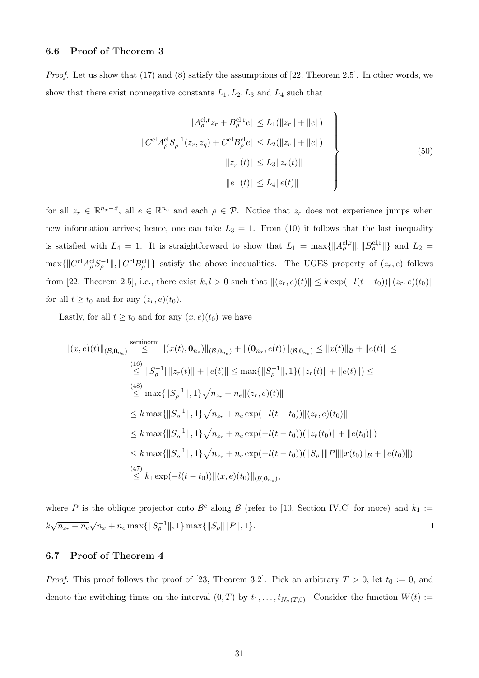### 6.6 Proof of Theorem 3

Proof. Let us show that (17) and (8) satisfy the assumptions of [22, Theorem 2.5]. In other words, we show that there exist nonnegative constants  $L_1, L_2, L_3$  and  $L_4$  such that

$$
||A_{\rho}^{\text{cl},r}z_r + B_{\rho}^{\text{cl},r}e|| \le L_1(||z_r|| + ||e||)
$$
  

$$
||C^{\text{cl}}A_{\rho}^{\text{cl}}S_{\rho}^{-1}(z_r, z_q) + C^{\text{cl}}B_{\rho}^{\text{cl}}e|| \le L_2(||z_r|| + ||e||)
$$
  

$$
||z_r^+(t)|| \le L_3||z_r(t)||
$$
  

$$
||e^+(t)|| \le L_4||e(t)||
$$
 (50)

for all  $z_r \in \mathbb{R}^{n_x-\mathcal{A}}$ , all  $e \in \mathbb{R}^{n_e}$  and each  $\rho \in \mathcal{P}$ . Notice that  $z_r$  does not experience jumps when new information arrives; hence, one can take  $L_3 = 1$ . From (10) it follows that the last inequality is satisfied with  $L_4 = 1$ . It is straightforward to show that  $L_1 = \max\{||A_\rho^{c,l,r}||, ||B_\rho^{c,l,r}||\}$  and  $L_2 =$  $\max\{\|C^{cl}A^{cl}_{\rho}S^{-1}_{\rho}\|,\|C^{cl}B^{cl}_{\rho}\|\}$  satisfy the above inequalities. The UGES property of  $(z_r, e)$  follows from [22, Theorem 2.5], i.e., there exist  $k, l > 0$  such that  $||(z_r, e)(t)|| \leq k \exp(-l(t - t_0))||(z_r, e)(t_0)||$ for all  $t \ge t_0$  and for any  $(z_r, e)(t_0)$ .

Lastly, for all  $t \geq t_0$  and for any  $(x, e)(t_0)$  we have

$$
||(x, e)(t)||_{(\mathcal{B}, \mathbf{0}_{n_e})} \leq ||(x(t), \mathbf{0}_{n_e})||_{(\mathcal{B}, \mathbf{0}_{n_e})} + ||(\mathbf{0}_{n_x}, e(t))||_{(\mathcal{B}, \mathbf{0}_{n_e})} \leq ||x(t)||_{\mathcal{B}} + ||e(t)|| \leq
$$
  
\n
$$
\leq ||S_{\rho}^{-1}|| ||z_r(t)|| + ||e(t)|| \leq \max\{||S_{\rho}^{-1}||, 1\} (||z_r(t)|| + ||e(t)||) \leq
$$
  
\n
$$
\leq \max\{||S_{\rho}^{-1}||, 1\} \sqrt{n_{z_r} + n_e} ||(z_r, e)(t)||
$$
  
\n
$$
\leq k \max\{||S_{\rho}^{-1}||, 1\} \sqrt{n_{z_r} + n_e} \exp(-l(t - t_0)) ||(z_r, e)(t_0)||
$$
  
\n
$$
\leq k \max\{||S_{\rho}^{-1}||, 1\} \sqrt{n_{z_r} + n_e} \exp(-l(t - t_0)) (||z_r(t_0)|| + ||e(t_0)||)
$$
  
\n
$$
\leq k \max\{||S_{\rho}^{-1}||, 1\} \sqrt{n_{z_r} + n_e} \exp(-l(t - t_0)) (||S_{\rho}|| ||P|| ||x(t_0)||_{\mathcal{B}} + ||e(t_0)||)
$$
  
\n
$$
\leq k_1 \exp(-l(t - t_0)) ||(x, e)(t_0)||_{(\mathcal{B}, \mathbf{0}_{n_e})},
$$

where P is the oblique projector onto  $\mathcal{B}^c$  along  $\mathcal{B}$  (refer to [10, Section IV.C] for more) and  $k_1 :=$  $k\sqrt{n_{z_r}+n_e}$  $\sqrt{n_x + n_e} \max\{\|S_\rho^{-1}\|, 1\} \max\{\|S_\rho\| \|P\|, 1\}.$  $\Box$ 

#### 6.7 Proof of Theorem 4

*Proof.* This proof follows the proof of [23, Theorem 3.2]. Pick an arbitrary  $T > 0$ , let  $t_0 := 0$ , and denote the switching times on the interval  $(0, T)$  by  $t_1, \ldots, t_{N_{\sigma}(T,0)}$ . Consider the function  $W(t)$  :=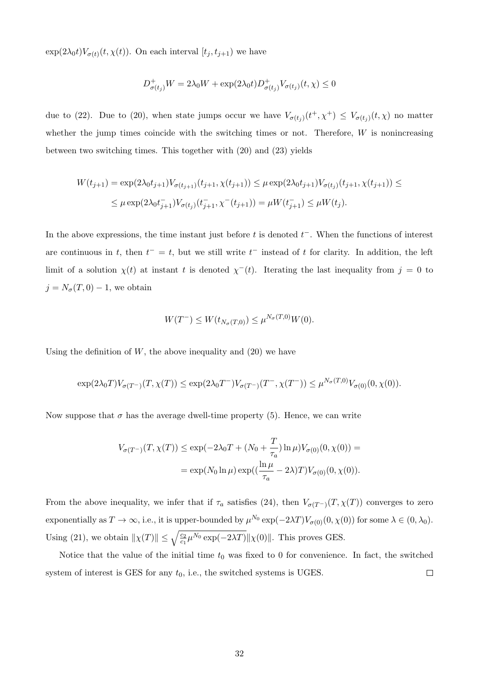$\exp(2\lambda_0 t)V_{\sigma(t)}(t,\chi(t))$ . On each interval  $[t_j,t_{j+1})$  we have

$$
D^+_{\sigma(t_j)}W = 2\lambda_0 W + \exp(2\lambda_0 t) D^+_{\sigma(t_j)} V_{\sigma(t_j)}(t, \chi) \le 0
$$

due to (22). Due to (20), when state jumps occur we have  $V_{\sigma(t_j)}(t^+, \chi^+) \leq V_{\sigma(t_j)}(t, \chi)$  no matter whether the jump times coincide with the switching times or not. Therefore,  $W$  is nonincreasing between two switching times. This together with (20) and (23) yields

$$
W(t_{j+1}) = \exp(2\lambda_0 t_{j+1}) V_{\sigma(t_{j+1})}(t_{j+1}, \chi(t_{j+1})) \le \mu \exp(2\lambda_0 t_{j+1}) V_{\sigma(t_j)}(t_{j+1}, \chi(t_{j+1})) \le
$$
  

$$
\le \mu \exp(2\lambda_0 t_{j+1}^-) V_{\sigma(t_j)}(t_{j+1}^-, \chi^-(t_{j+1})) = \mu W(t_{j+1}^-) \le \mu W(t_j).
$$

In the above expressions, the time instant just before t is denoted  $t^-$ . When the functions of interest are continuous in t, then  $t^- = t$ , but we still write  $t^-$  instead of t for clarity. In addition, the left limit of a solution  $\chi(t)$  at instant t is denoted  $\chi^{-}(t)$ . Iterating the last inequality from  $j = 0$  to  $j = N_{\sigma}(T, 0) - 1$ , we obtain

$$
W(T^{-}) \le W(t_{N_{\sigma}(T,0)}) \le \mu^{N_{\sigma}(T,0)}W(0).
$$

Using the definition of  $W$ , the above inequality and  $(20)$  we have

$$
\exp(2\lambda_0 T)V_{\sigma(T^-)}(T,\chi(T)) \leq \exp(2\lambda_0 T^-)V_{\sigma(T^-)}(T^-,\chi(T^-)) \leq \mu^{N_{\sigma}(T,0)}V_{\sigma(0)}(0,\chi(0)).
$$

Now suppose that  $\sigma$  has the average dwell-time property (5). Hence, we can write

$$
V_{\sigma(T^{-})}(T, \chi(T)) \le \exp(-2\lambda_0 T + (N_0 + \frac{T}{\tau_a}) \ln \mu) V_{\sigma(0)}(0, \chi(0)) =
$$
  
=  $\exp(N_0 \ln \mu) \exp((\frac{\ln \mu}{\tau_a} - 2\lambda) T) V_{\sigma(0)}(0, \chi(0)).$ 

From the above inequality, we infer that if  $\tau_a$  satisfies (24), then  $V_{\sigma(T^-)}(T, \chi(T))$  converges to zero exponentially as  $T \to \infty$ , i.e., it is upper-bounded by  $\mu^{N_0} \exp(-2\lambda T) V_{\sigma(0)}(0, \chi(0))$  for some  $\lambda \in (0, \lambda_0)$ . Using (21), we obtain  $\|\chi(T)\| \leq \sqrt{\frac{c_2}{c_1}\mu^{N_0} \exp(-2\lambda T)} \|\chi(0)\|$ . This proves GES.

Notice that the value of the initial time  $t_0$  was fixed to 0 for convenience. In fact, the switched  $\Box$ system of interest is GES for any  $t_0$ , i.e., the switched systems is UGES.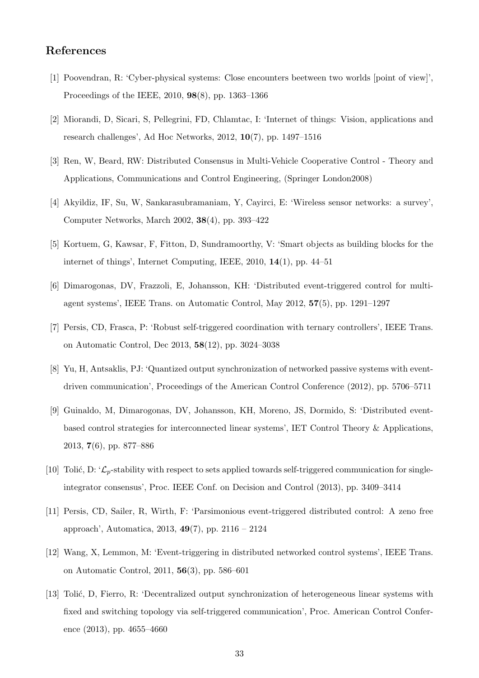# References

- [1] Poovendran, R: 'Cyber-physical systems: Close encounters beetween two worlds [point of view]', Proceedings of the IEEE, 2010, 98(8), pp. 1363–1366
- [2] Miorandi, D, Sicari, S, Pellegrini, FD, Chlamtac, I: 'Internet of things: Vision, applications and research challenges', Ad Hoc Networks, 2012, 10(7), pp. 1497–1516
- [3] Ren, W, Beard, RW: Distributed Consensus in Multi-Vehicle Cooperative Control Theory and Applications, Communications and Control Engineering, (Springer London2008)
- [4] Akyildiz, IF, Su, W, Sankarasubramaniam, Y, Cayirci, E: 'Wireless sensor networks: a survey', Computer Networks, March 2002, 38(4), pp. 393–422
- [5] Kortuem, G, Kawsar, F, Fitton, D, Sundramoorthy, V: 'Smart objects as building blocks for the internet of things', Internet Computing, IEEE, 2010, 14(1), pp. 44–51
- [6] Dimarogonas, DV, Frazzoli, E, Johansson, KH: 'Distributed event-triggered control for multiagent systems', IEEE Trans. on Automatic Control, May 2012, 57(5), pp. 1291–1297
- [7] Persis, CD, Frasca, P: 'Robust self-triggered coordination with ternary controllers', IEEE Trans. on Automatic Control, Dec 2013, 58(12), pp. 3024–3038
- [8] Yu, H, Antsaklis, PJ: 'Quantized output synchronization of networked passive systems with eventdriven communication', Proceedings of the American Control Conference (2012), pp. 5706–5711
- [9] Guinaldo, M, Dimarogonas, DV, Johansson, KH, Moreno, JS, Dormido, S: 'Distributed eventbased control strategies for interconnected linear systems', IET Control Theory & Applications, 2013, 7(6), pp. 877–886
- [10] Tolić, D: ' $\mathcal{L}_p$ -stability with respect to sets applied towards self-triggered communication for singleintegrator consensus', Proc. IEEE Conf. on Decision and Control (2013), pp. 3409–3414
- [11] Persis, CD, Sailer, R, Wirth, F: 'Parsimonious event-triggered distributed control: A zeno free approach', Automatica, 2013, 49(7), pp. 2116 – 2124
- [12] Wang, X, Lemmon, M: 'Event-triggering in distributed networked control systems', IEEE Trans. on Automatic Control, 2011, 56(3), pp. 586–601
- [13] Tolić, D, Fierro, R: 'Decentralized output synchronization of heterogeneous linear systems with fixed and switching topology via self-triggered communication', Proc. American Control Conference (2013), pp. 4655–4660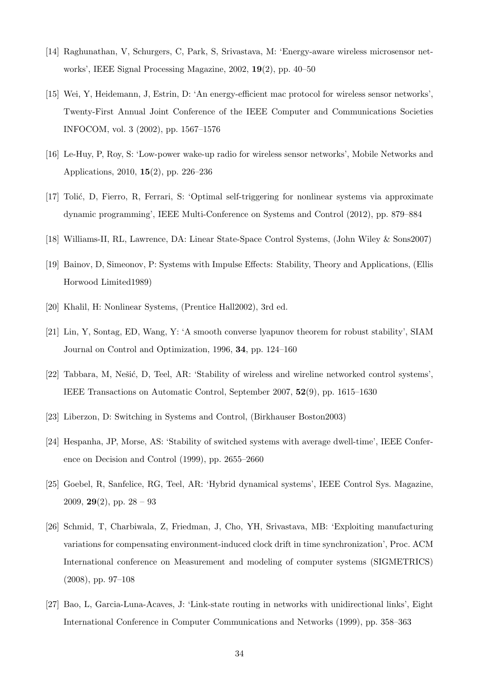- [14] Raghunathan, V, Schurgers, C, Park, S, Srivastava, M: 'Energy-aware wireless microsensor networks', IEEE Signal Processing Magazine, 2002, 19(2), pp. 40–50
- [15] Wei, Y, Heidemann, J, Estrin, D: 'An energy-efficient mac protocol for wireless sensor networks', Twenty-First Annual Joint Conference of the IEEE Computer and Communications Societies INFOCOM, vol. 3 (2002), pp. 1567–1576
- [16] Le-Huy, P, Roy, S: 'Low-power wake-up radio for wireless sensor networks', Mobile Networks and Applications, 2010, 15(2), pp. 226–236
- [17] Tolić, D, Fierro, R, Ferrari, S: 'Optimal self-triggering for nonlinear systems via approximate dynamic programming', IEEE Multi-Conference on Systems and Control (2012), pp. 879–884
- [18] Williams-II, RL, Lawrence, DA: Linear State-Space Control Systems, (John Wiley & Sons2007)
- [19] Bainov, D, Simeonov, P: Systems with Impulse Effects: Stability, Theory and Applications, (Ellis Horwood Limited1989)
- [20] Khalil, H: Nonlinear Systems, (Prentice Hall2002), 3rd ed.
- [21] Lin, Y, Sontag, ED, Wang, Y: 'A smooth converse lyapunov theorem for robust stability', SIAM Journal on Control and Optimization, 1996, 34, pp. 124–160
- [22] Tabbara, M, Nešić, D, Teel, AR: 'Stability of wireless and wireline networked control systems', IEEE Transactions on Automatic Control, September 2007, 52(9), pp. 1615–1630
- [23] Liberzon, D: Switching in Systems and Control, (Birkhauser Boston2003)
- [24] Hespanha, JP, Morse, AS: 'Stability of switched systems with average dwell-time', IEEE Conference on Decision and Control (1999), pp. 2655–2660
- [25] Goebel, R, Sanfelice, RG, Teel, AR: 'Hybrid dynamical systems', IEEE Control Sys. Magazine, 2009,  $29(2)$ , pp.  $28 - 93$
- [26] Schmid, T, Charbiwala, Z, Friedman, J, Cho, YH, Srivastava, MB: 'Exploiting manufacturing variations for compensating environment-induced clock drift in time synchronization', Proc. ACM International conference on Measurement and modeling of computer systems (SIGMETRICS) (2008), pp. 97–108
- [27] Bao, L, Garcia-Luna-Acaves, J: 'Link-state routing in networks with unidirectional links', Eight International Conference in Computer Communications and Networks (1999), pp. 358–363